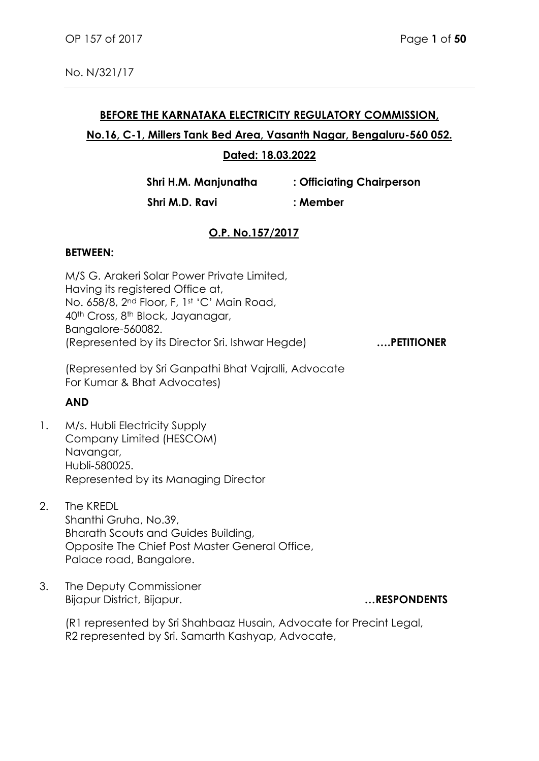# **BEFORE THE KARNATAKA ELECTRICITY REGULATORY COMMISSION, No.16, C-1, Millers Tank Bed Area, Vasanth Nagar, Bengaluru-560 052. Dated: 18.03.2022**

**Shri H.M. Manjunatha : Officiating Chairperson**

 **Shri M.D. Ravi : Member**

# **O.P. No.157/2017**

#### **BETWEEN:**

M/S G. Arakeri Solar Power Private Limited, Having its registered Office at, No. 658/8, 2nd Floor, F, 1st 'C' Main Road, 40th Cross, 8th Block, Jayanagar, Bangalore-560082. (Represented by its Director Sri. Ishwar Hegde) **….PETITIONER** 

(Represented by Sri Ganpathi Bhat Vajralli, Advocate For Kumar & Bhat Advocates)

#### **AND**

- 1. M/s. Hubli Electricity Supply Company Limited (HESCOM) Navangar, Hubli-580025. Represented by its Managing Director
- 2. The KREDL Shanthi Gruha, No.39, Bharath Scouts and Guides Building, Opposite The Chief Post Master General Office, Palace road, Bangalore.
- 3. The Deputy Commissioner Bijapur District, Bijapur. **…RESPONDENTS**

(R1 represented by Sri Shahbaaz Husain, Advocate for Precint Legal, R2 represented by Sri. Samarth Kashyap, Advocate,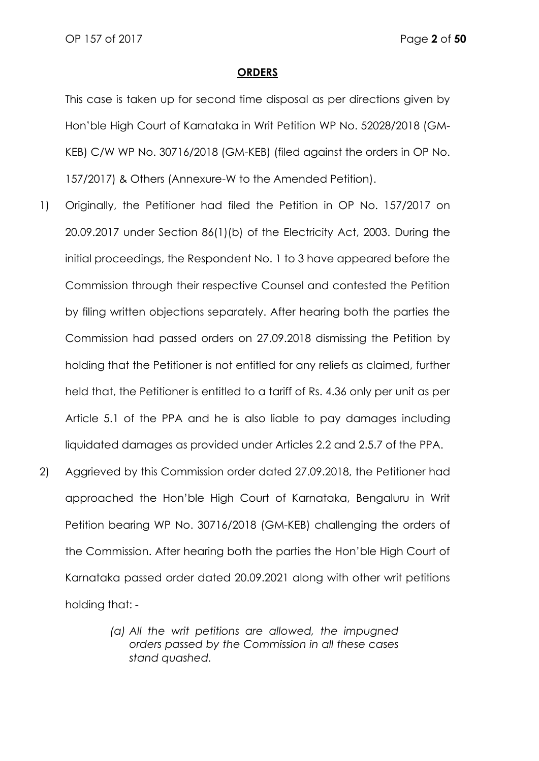#### **ORDERS**

This case is taken up for second time disposal as per directions given by Hon'ble High Court of Karnataka in Writ Petition WP No. 52028/2018 (GM-KEB) C/W WP No. 30716/2018 (GM-KEB) (filed against the orders in OP No. 157/2017) & Others (Annexure-W to the Amended Petition).

- 1) Originally, the Petitioner had filed the Petition in OP No. 157/2017 on 20.09.2017 under Section 86(1)(b) of the Electricity Act, 2003. During the initial proceedings, the Respondent No. 1 to 3 have appeared before the Commission through their respective Counsel and contested the Petition by filing written objections separately. After hearing both the parties the Commission had passed orders on 27.09.2018 dismissing the Petition by holding that the Petitioner is not entitled for any reliefs as claimed, further held that, the Petitioner is entitled to a tariff of Rs. 4.36 only per unit as per Article 5.1 of the PPA and he is also liable to pay damages including liquidated damages as provided under Articles 2.2 and 2.5.7 of the PPA.
- 2) Aggrieved by this Commission order dated 27.09.2018, the Petitioner had approached the Hon'ble High Court of Karnataka, Bengaluru in Writ Petition bearing WP No. 30716/2018 (GM-KEB) challenging the orders of the Commission. After hearing both the parties the Hon'ble High Court of Karnataka passed order dated 20.09.2021 along with other writ petitions holding that: -
	- *(a) All the writ petitions are allowed, the impugned orders passed by the Commission in all these cases stand quashed.*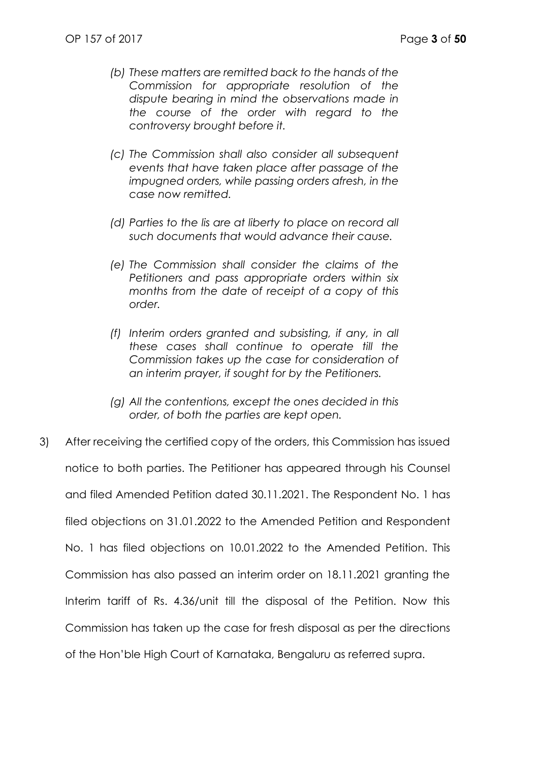- *(b) These matters are remitted back to the hands of the Commission for appropriate resolution of the dispute bearing in mind the observations made in the course of the order with regard to the controversy brought before it.*
- *(c) The Commission shall also consider all subsequent events that have taken place after passage of the impugned orders, while passing orders afresh, in the case now remitted.*
- *(d)* Parties to the lis are at liberty to place on record all *such documents that would advance their cause.*
- *(e) The Commission shall consider the claims of the Petitioners and pass appropriate orders within six months from the date of receipt of a copy of this order.*
- *(f) Interim orders granted and subsisting, if any, in all these cases shall continue to operate till the Commission takes up the case for consideration of an interim prayer, if sought for by the Petitioners.*
- *(g) All the contentions, except the ones decided in this order, of both the parties are kept open.*
- 3) After receiving the certified copy of the orders, this Commission has issued notice to both parties. The Petitioner has appeared through his Counsel and filed Amended Petition dated 30.11.2021. The Respondent No. 1 has filed objections on 31.01.2022 to the Amended Petition and Respondent No. 1 has filed objections on 10.01.2022 to the Amended Petition. This Commission has also passed an interim order on 18.11.2021 granting the Interim tariff of Rs. 4.36/unit till the disposal of the Petition. Now this Commission has taken up the case for fresh disposal as per the directions of the Hon'ble High Court of Karnataka, Bengaluru as referred supra.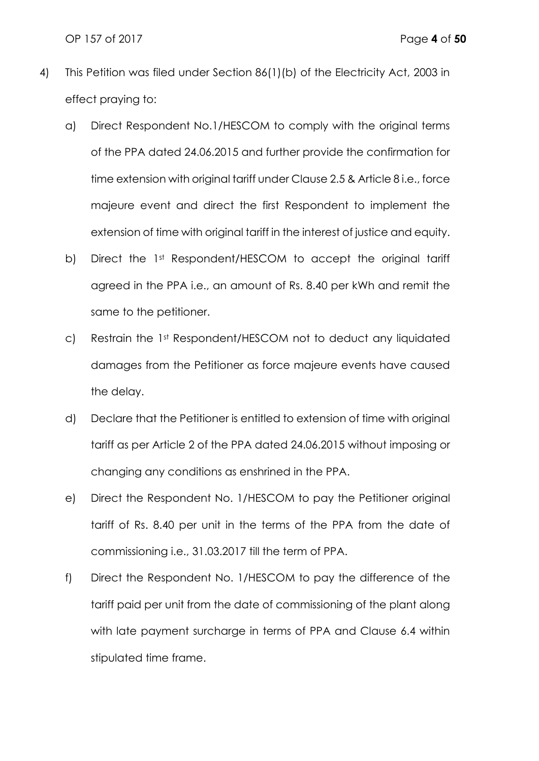OP 157 of 2017 Page **4** of **50**

- 4) This Petition was filed under Section 86(1)(b) of the Electricity Act, 2003 in effect praying to:
	- a) Direct Respondent No.1/HESCOM to comply with the original terms of the PPA dated 24.06.2015 and further provide the confirmation for time extension with original tariff under Clause 2.5 & Article 8 i.e., force majeure event and direct the first Respondent to implement the extension of time with original tariff in the interest of justice and equity.
	- b) Direct the 1st Respondent/HESCOM to accept the original tariff agreed in the PPA i.e., an amount of Rs. 8.40 per kWh and remit the same to the petitioner.
	- c) Restrain the 1st Respondent/HESCOM not to deduct any liquidated damages from the Petitioner as force majeure events have caused the delay.
	- d) Declare that the Petitioner is entitled to extension of time with original tariff as per Article 2 of the PPA dated 24.06.2015 without imposing or changing any conditions as enshrined in the PPA.
	- e) Direct the Respondent No. 1/HESCOM to pay the Petitioner original tariff of Rs. 8.40 per unit in the terms of the PPA from the date of commissioning i.e., 31.03.2017 till the term of PPA.
	- f) Direct the Respondent No. 1/HESCOM to pay the difference of the tariff paid per unit from the date of commissioning of the plant along with late payment surcharge in terms of PPA and Clause 6.4 within stipulated time frame.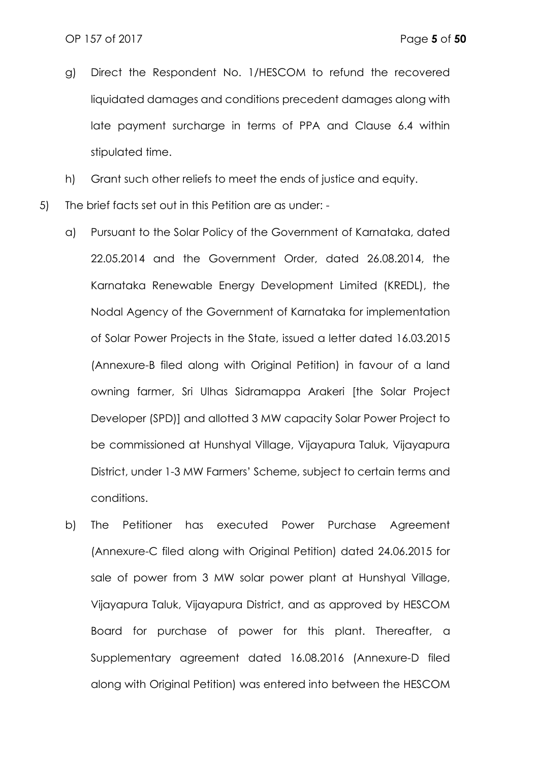- g) Direct the Respondent No. 1/HESCOM to refund the recovered liquidated damages and conditions precedent damages along with late payment surcharge in terms of PPA and Clause 6.4 within stipulated time.
- h) Grant such other reliefs to meet the ends of justice and equity.
- 5) The brief facts set out in this Petition are as under:
	- a) Pursuant to the Solar Policy of the Government of Karnataka, dated 22.05.2014 and the Government Order, dated 26.08.2014, the Karnataka Renewable Energy Development Limited (KREDL), the Nodal Agency of the Government of Karnataka for implementation of Solar Power Projects in the State, issued a letter dated 16.03.2015 (Annexure-B filed along with Original Petition) in favour of a land owning farmer, Sri Ulhas Sidramappa Arakeri [the Solar Project Developer (SPD)] and allotted 3 MW capacity Solar Power Project to be commissioned at Hunshyal Village, Vijayapura Taluk, Vijayapura District, under 1-3 MW Farmers' Scheme, subject to certain terms and conditions.
	- b) The Petitioner has executed Power Purchase Agreement (Annexure-C filed along with Original Petition) dated 24.06.2015 for sale of power from 3 MW solar power plant at Hunshyal Village, Vijayapura Taluk, Vijayapura District, and as approved by HESCOM Board for purchase of power for this plant. Thereafter, a Supplementary agreement dated 16.08.2016 (Annexure-D filed along with Original Petition) was entered into between the HESCOM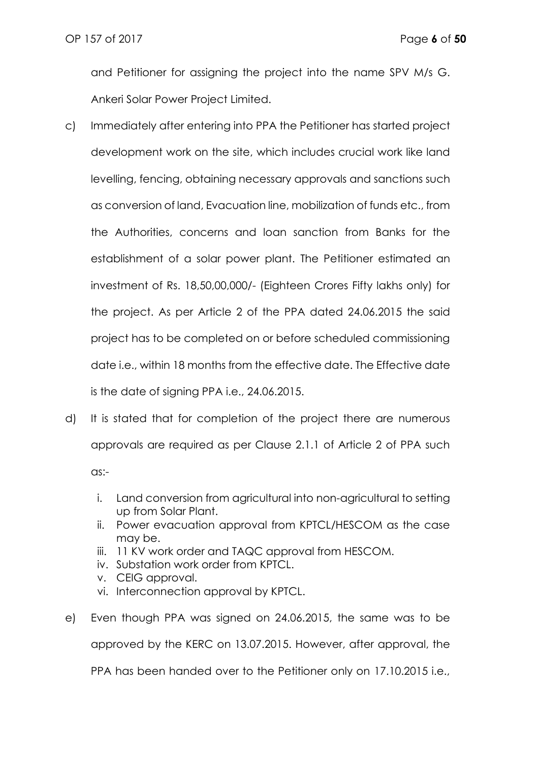and Petitioner for assigning the project into the name SPV M/s G. Ankeri Solar Power Project Limited.

- c) Immediately after entering into PPA the Petitioner has started project development work on the site, which includes crucial work like land levelling, fencing, obtaining necessary approvals and sanctions such as conversion of land, Evacuation line, mobilization of funds etc., from the Authorities, concerns and loan sanction from Banks for the establishment of a solar power plant. The Petitioner estimated an investment of Rs. 18,50,00,000/- (Eighteen Crores Fifty lakhs only) for the project. As per Article 2 of the PPA dated 24.06.2015 the said project has to be completed on or before scheduled commissioning date i.e., within 18 months from the effective date. The Effective date is the date of signing PPA i.e., 24.06.2015.
- d) It is stated that for completion of the project there are numerous approvals are required as per Clause 2.1.1 of Article 2 of PPA such as:
	- i. Land conversion from agricultural into non-agricultural to setting up from Solar Plant.
	- ii. Power evacuation approval from KPTCL/HESCOM as the case may be.
	- iii. 11 KV work order and TAQC approval from HESCOM.
	- iv. Substation work order from KPTCL.
	- v. CEIG approval.
	- vi. Interconnection approval by KPTCL.
- e) Even though PPA was signed on 24.06.2015, the same was to be approved by the KERC on 13.07.2015. However, after approval, the PPA has been handed over to the Petitioner only on 17.10.2015 i.e.,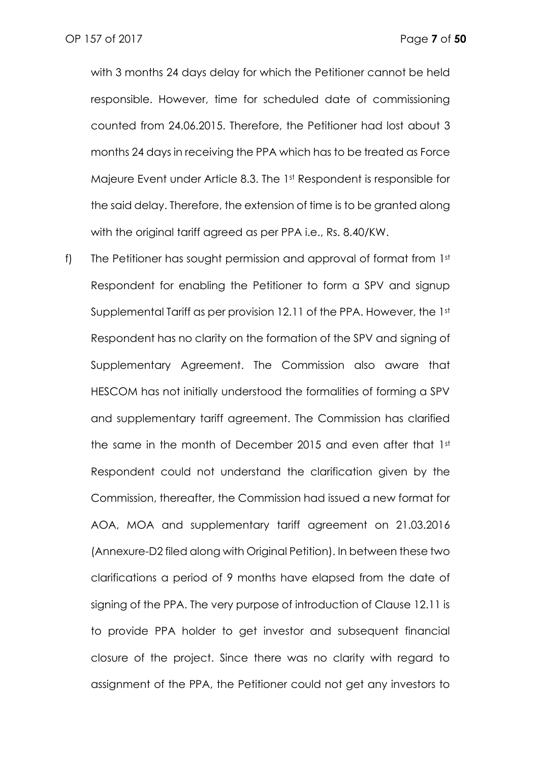with 3 months 24 days delay for which the Petitioner cannot be held responsible. However, time for scheduled date of commissioning counted from 24.06.2015. Therefore, the Petitioner had lost about 3 months 24 days in receiving the PPA which has to be treated as Force Majeure Event under Article 8.3. The 1st Respondent is responsible for the said delay. Therefore, the extension of time is to be granted along with the original tariff agreed as per PPA i.e., Rs. 8.40/KW.

f) The Petitioner has sought permission and approval of format from 1st Respondent for enabling the Petitioner to form a SPV and signup Supplemental Tariff as per provision 12.11 of the PPA. However, the 1st Respondent has no clarity on the formation of the SPV and signing of Supplementary Agreement. The Commission also aware that HESCOM has not initially understood the formalities of forming a SPV and supplementary tariff agreement. The Commission has clarified the same in the month of December 2015 and even after that 1st Respondent could not understand the clarification given by the Commission, thereafter, the Commission had issued a new format for AOA, MOA and supplementary tariff agreement on 21.03.2016 (Annexure-D2 filed along with Original Petition). In between these two clarifications a period of 9 months have elapsed from the date of signing of the PPA. The very purpose of introduction of Clause 12.11 is to provide PPA holder to get investor and subsequent financial closure of the project. Since there was no clarity with regard to assignment of the PPA, the Petitioner could not get any investors to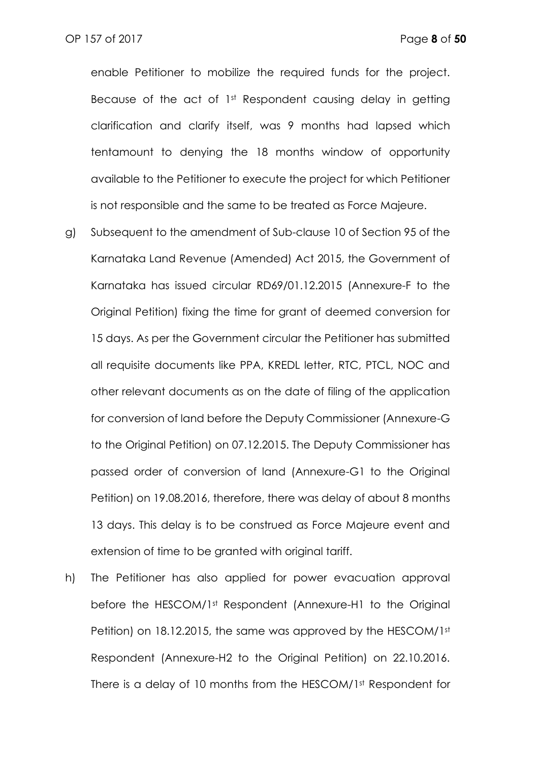enable Petitioner to mobilize the required funds for the project. Because of the act of 1<sup>st</sup> Respondent causing delay in getting clarification and clarify itself, was 9 months had lapsed which tentamount to denying the 18 months window of opportunity available to the Petitioner to execute the project for which Petitioner is not responsible and the same to be treated as Force Majeure.

- g) Subsequent to the amendment of Sub-clause 10 of Section 95 of the Karnataka Land Revenue (Amended) Act 2015, the Government of Karnataka has issued circular RD69/01.12.2015 (Annexure-F to the Original Petition) fixing the time for grant of deemed conversion for 15 days. As per the Government circular the Petitioner has submitted all requisite documents like PPA, KREDL letter, RTC, PTCL, NOC and other relevant documents as on the date of filing of the application for conversion of land before the Deputy Commissioner (Annexure-G to the Original Petition) on 07.12.2015. The Deputy Commissioner has passed order of conversion of land (Annexure-G1 to the Original Petition) on 19.08.2016, therefore, there was delay of about 8 months 13 days. This delay is to be construed as Force Majeure event and extension of time to be granted with original tariff.
- h) The Petitioner has also applied for power evacuation approval before the HESCOM/1st Respondent (Annexure-H1 to the Original Petition) on 18.12.2015, the same was approved by the HESCOM/1st Respondent (Annexure-H2 to the Original Petition) on 22.10.2016. There is a delay of 10 months from the HESCOM/1st Respondent for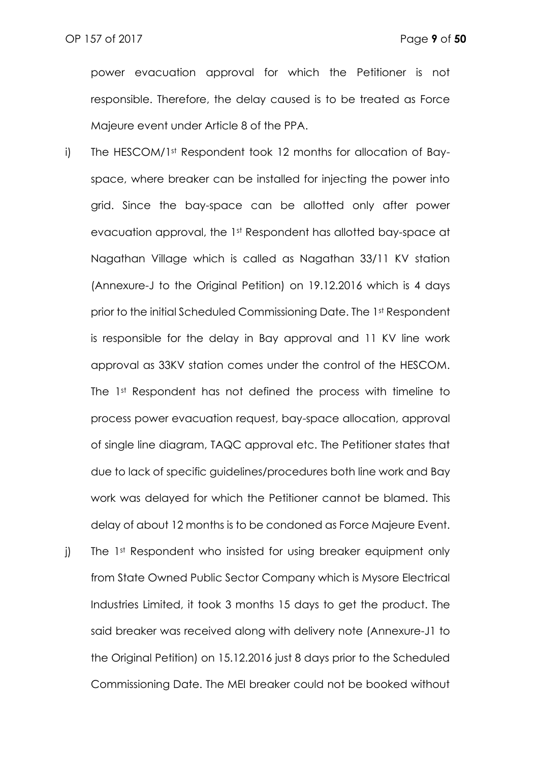power evacuation approval for which the Petitioner is not responsible. Therefore, the delay caused is to be treated as Force Majeure event under Article 8 of the PPA.

- i) The HESCOM/1st Respondent took 12 months for allocation of Bayspace, where breaker can be installed for injecting the power into grid. Since the bay-space can be allotted only after power evacuation approval, the 1st Respondent has allotted bay-space at Nagathan Village which is called as Nagathan 33/11 KV station (Annexure-J to the Original Petition) on 19.12.2016 which is 4 days prior to the initial Scheduled Commissioning Date. The 1st Respondent is responsible for the delay in Bay approval and 11 KV line work approval as 33KV station comes under the control of the HESCOM. The 1<sup>st</sup> Respondent has not defined the process with timeline to process power evacuation request, bay-space allocation, approval of single line diagram, TAQC approval etc. The Petitioner states that due to lack of specific guidelines/procedures both line work and Bay work was delayed for which the Petitioner cannot be blamed. This delay of about 12 months is to be condoned as Force Majeure Event.
- j) The 1<sup>st</sup> Respondent who insisted for using breaker equipment only from State Owned Public Sector Company which is Mysore Electrical Industries Limited, it took 3 months 15 days to get the product. The said breaker was received along with delivery note (Annexure-J1 to the Original Petition) on 15.12.2016 just 8 days prior to the Scheduled Commissioning Date. The MEI breaker could not be booked without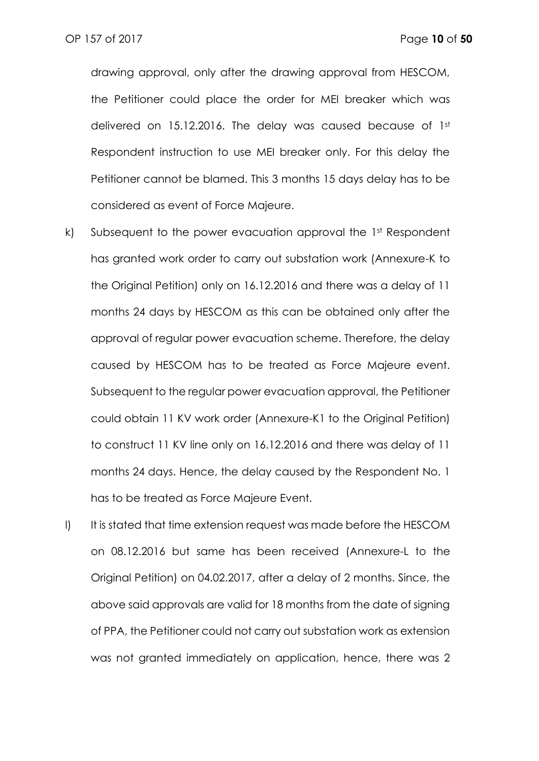drawing approval, only after the drawing approval from HESCOM, the Petitioner could place the order for MEI breaker which was delivered on 15.12.2016. The delay was caused because of 1st Respondent instruction to use MEI breaker only. For this delay the Petitioner cannot be blamed. This 3 months 15 days delay has to be considered as event of Force Majeure.

- k) Subsequent to the power evacuation approval the 1st Respondent has granted work order to carry out substation work (Annexure-K to the Original Petition) only on 16.12.2016 and there was a delay of 11 months 24 days by HESCOM as this can be obtained only after the approval of regular power evacuation scheme. Therefore, the delay caused by HESCOM has to be treated as Force Majeure event. Subsequent to the regular power evacuation approval, the Petitioner could obtain 11 KV work order (Annexure-K1 to the Original Petition) to construct 11 KV line only on 16.12.2016 and there was delay of 11 months 24 days. Hence, the delay caused by the Respondent No. 1 has to be treated as Force Majeure Event.
- l) It is stated that time extension request was made before the HESCOM on 08.12.2016 but same has been received (Annexure-L to the Original Petition) on 04.02.2017, after a delay of 2 months. Since, the above said approvals are valid for 18 months from the date of signing of PPA, the Petitioner could not carry out substation work as extension was not granted immediately on application, hence, there was 2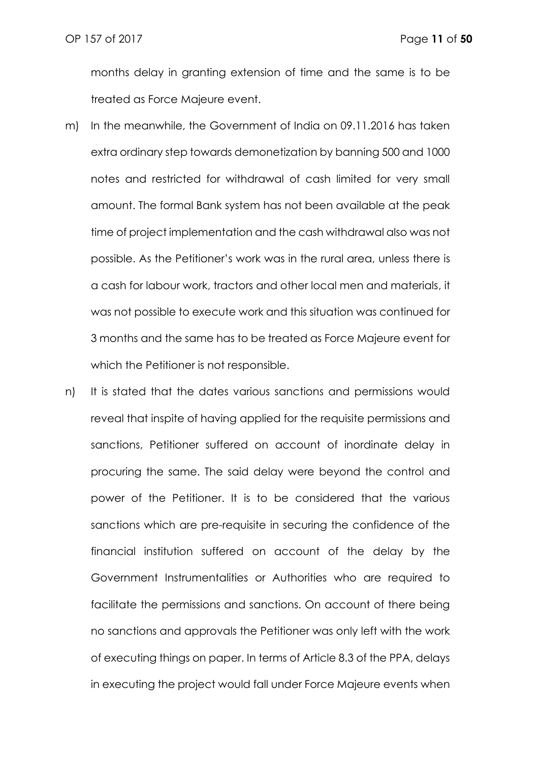months delay in granting extension of time and the same is to be treated as Force Majeure event.

- m) In the meanwhile, the Government of India on 09.11.2016 has taken extra ordinary step towards demonetization by banning 500 and 1000 notes and restricted for withdrawal of cash limited for very small amount. The formal Bank system has not been available at the peak time of project implementation and the cash withdrawal also was not possible. As the Petitioner's work was in the rural area, unless there is a cash for labour work, tractors and other local men and materials, it was not possible to execute work and this situation was continued for 3 months and the same has to be treated as Force Majeure event for which the Petitioner is not responsible.
- n) It is stated that the dates various sanctions and permissions would reveal that inspite of having applied for the requisite permissions and sanctions, Petitioner suffered on account of inordinate delay in procuring the same. The said delay were beyond the control and power of the Petitioner. It is to be considered that the various sanctions which are pre-requisite in securing the confidence of the financial institution suffered on account of the delay by the Government Instrumentalities or Authorities who are required to facilitate the permissions and sanctions. On account of there being no sanctions and approvals the Petitioner was only left with the work of executing things on paper. In terms of Article 8.3 of the PPA, delays in executing the project would fall under Force Majeure events when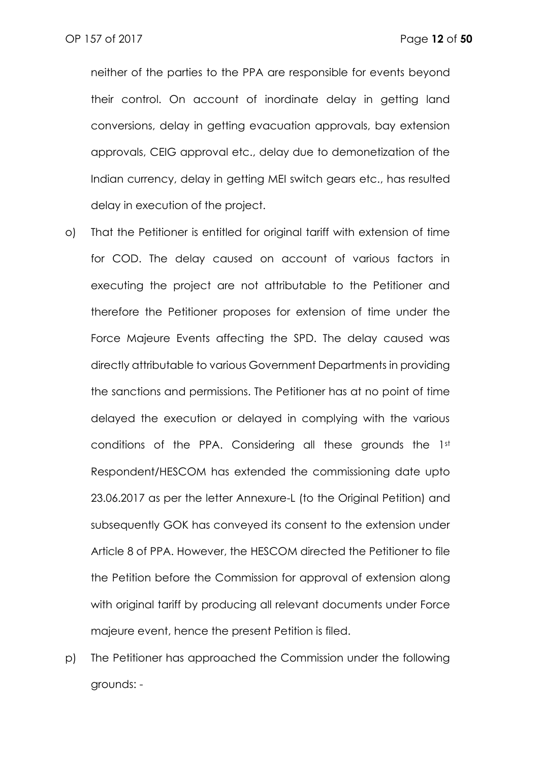neither of the parties to the PPA are responsible for events beyond their control. On account of inordinate delay in getting land conversions, delay in getting evacuation approvals, bay extension approvals, CEIG approval etc., delay due to demonetization of the Indian currency, delay in getting MEI switch gears etc., has resulted delay in execution of the project.

- o) That the Petitioner is entitled for original tariff with extension of time for COD. The delay caused on account of various factors in executing the project are not attributable to the Petitioner and therefore the Petitioner proposes for extension of time under the Force Majeure Events affecting the SPD. The delay caused was directly attributable to various Government Departments in providing the sanctions and permissions. The Petitioner has at no point of time delayed the execution or delayed in complying with the various conditions of the PPA. Considering all these grounds the 1st Respondent/HESCOM has extended the commissioning date upto 23.06.2017 as per the letter Annexure-L (to the Original Petition) and subsequently GOK has conveyed its consent to the extension under Article 8 of PPA. However, the HESCOM directed the Petitioner to file the Petition before the Commission for approval of extension along with original tariff by producing all relevant documents under Force majeure event, hence the present Petition is filed.
- p) The Petitioner has approached the Commission under the following grounds: -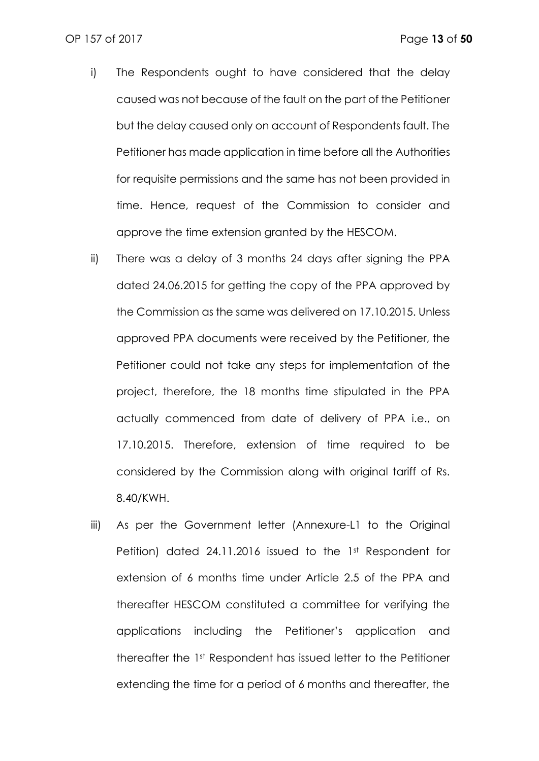- i) The Respondents ought to have considered that the delay caused was not because of the fault on the part of the Petitioner but the delay caused only on account of Respondents fault. The Petitioner has made application in time before all the Authorities for requisite permissions and the same has not been provided in time. Hence, request of the Commission to consider and approve the time extension granted by the HESCOM.
- ii) There was a delay of 3 months 24 days after signing the PPA dated 24.06.2015 for getting the copy of the PPA approved by the Commission as the same was delivered on 17.10.2015. Unless approved PPA documents were received by the Petitioner, the Petitioner could not take any steps for implementation of the project, therefore, the 18 months time stipulated in the PPA actually commenced from date of delivery of PPA i.e., on 17.10.2015. Therefore, extension of time required to be considered by the Commission along with original tariff of Rs. 8.40/KWH.
- iii) As per the Government letter (Annexure-L1 to the Original Petition) dated 24.11.2016 issued to the 1st Respondent for extension of 6 months time under Article 2.5 of the PPA and thereafter HESCOM constituted a committee for verifying the applications including the Petitioner's application and thereafter the 1st Respondent has issued letter to the Petitioner extending the time for a period of 6 months and thereafter, the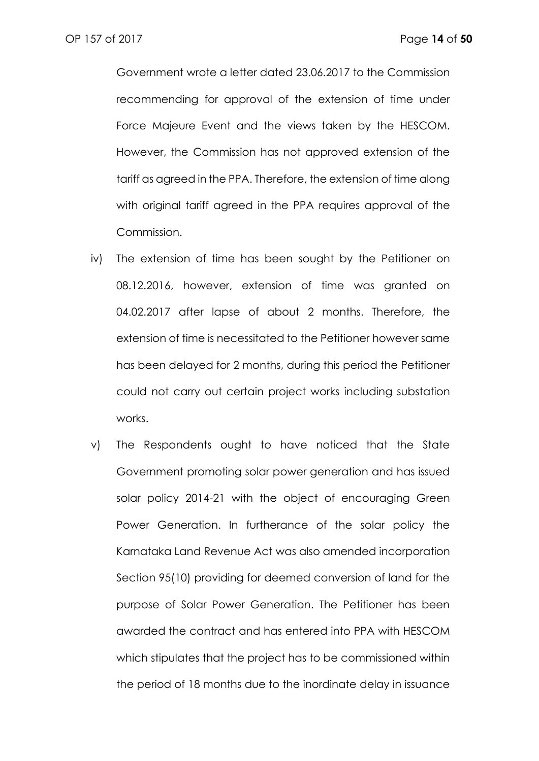Government wrote a letter dated 23.06.2017 to the Commission recommending for approval of the extension of time under Force Majeure Event and the views taken by the HESCOM. However, the Commission has not approved extension of the tariff as agreed in the PPA. Therefore, the extension of time along with original tariff agreed in the PPA requires approval of the Commission.

- iv) The extension of time has been sought by the Petitioner on 08.12.2016, however, extension of time was granted on 04.02.2017 after lapse of about 2 months. Therefore, the extension of time is necessitated to the Petitioner however same has been delayed for 2 months, during this period the Petitioner could not carry out certain project works including substation works.
- v) The Respondents ought to have noticed that the State Government promoting solar power generation and has issued solar policy 2014-21 with the object of encouraging Green Power Generation. In furtherance of the solar policy the Karnataka Land Revenue Act was also amended incorporation Section 95(10) providing for deemed conversion of land for the purpose of Solar Power Generation. The Petitioner has been awarded the contract and has entered into PPA with HESCOM which stipulates that the project has to be commissioned within the period of 18 months due to the inordinate delay in issuance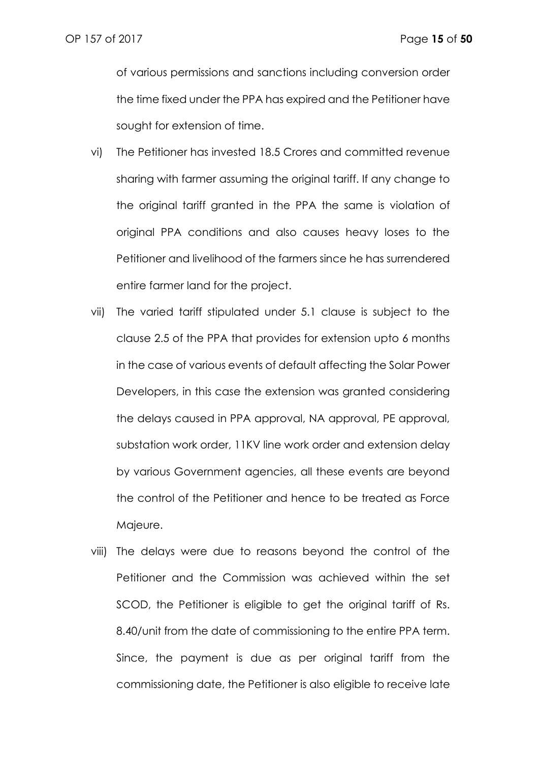of various permissions and sanctions including conversion order the time fixed under the PPA has expired and the Petitioner have sought for extension of time.

- vi) The Petitioner has invested 18.5 Crores and committed revenue sharing with farmer assuming the original tariff. If any change to the original tariff granted in the PPA the same is violation of original PPA conditions and also causes heavy loses to the Petitioner and livelihood of the farmers since he has surrendered entire farmer land for the project.
- vii) The varied tariff stipulated under 5.1 clause is subject to the clause 2.5 of the PPA that provides for extension upto 6 months in the case of various events of default affecting the Solar Power Developers, in this case the extension was granted considering the delays caused in PPA approval, NA approval, PE approval, substation work order, 11KV line work order and extension delay by various Government agencies, all these events are beyond the control of the Petitioner and hence to be treated as Force Majeure.
- viii) The delays were due to reasons beyond the control of the Petitioner and the Commission was achieved within the set SCOD, the Petitioner is eligible to get the original tariff of Rs. 8.40/unit from the date of commissioning to the entire PPA term. Since, the payment is due as per original tariff from the commissioning date, the Petitioner is also eligible to receive late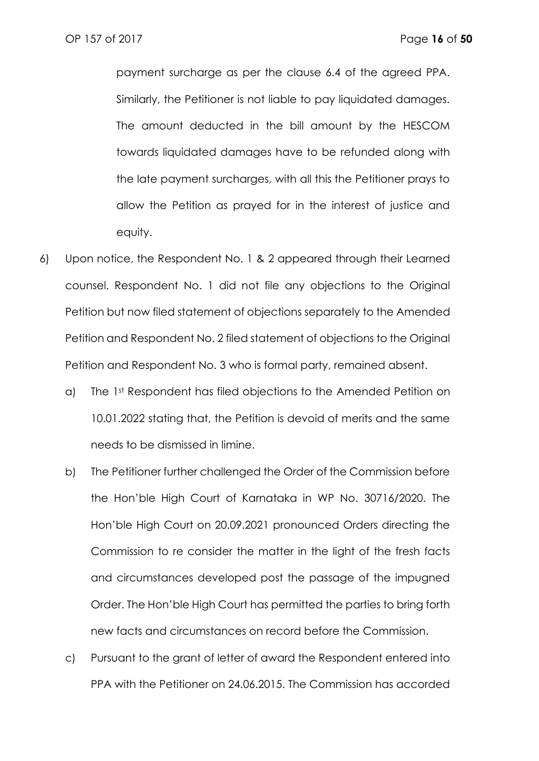payment surcharge as per the clause 6.4 of the agreed PPA. Similarly, the Petitioner is not liable to pay liquidated damages. The amount deducted in the bill amount by the HESCOM towards liquidated damages have to be refunded along with the late payment surcharges, with all this the Petitioner prays to allow the Petition as prayed for in the interest of justice and equity.

- 6) Upon notice, the Respondent No. 1 & 2 appeared through their Learned counsel. Respondent No. 1 did not file any objections to the Original Petition but now filed statement of objections separately to the Amended Petition and Respondent No. 2 filed statement of objections to the Original Petition and Respondent No. 3 who is formal party, remained absent.
	- a) The 1st Respondent has filed objections to the Amended Petition on 10.01.2022 stating that, the Petition is devoid of merits and the same needs to be dismissed in limine.
	- b) The Petitioner further challenged the Order of the Commission before the Hon'ble High Court of Karnataka in WP No. 30716/2020. The Hon'ble High Court on 20.09.2021 pronounced Orders directing the Commission to re consider the matter in the light of the fresh facts and circumstances developed post the passage of the impugned Order. The Hon'ble High Court has permitted the parties to bring forth new facts and circumstances on record before the Commission.
	- c) Pursuant to the grant of letter of award the Respondent entered into PPA with the Petitioner on 24.06.2015. The Commission has accorded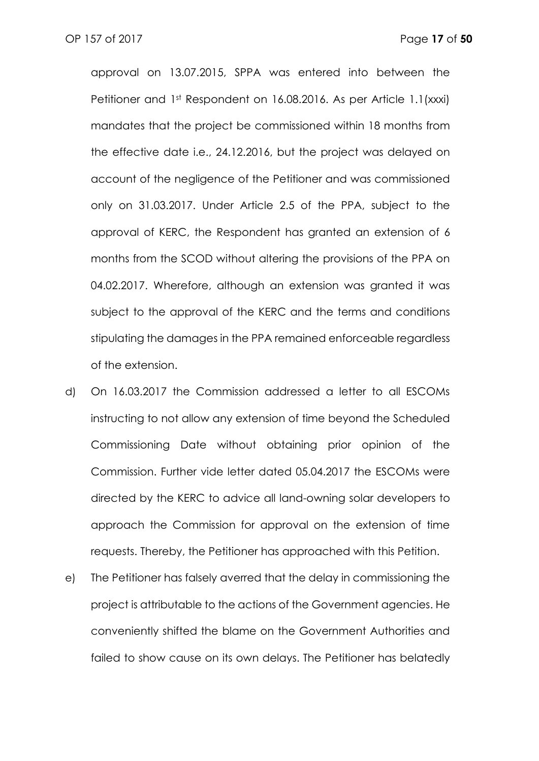approval on 13.07.2015, SPPA was entered into between the Petitioner and 1st Respondent on 16.08.2016. As per Article 1.1(xxxi) mandates that the project be commissioned within 18 months from the effective date i.e., 24.12.2016, but the project was delayed on account of the negligence of the Petitioner and was commissioned only on 31.03.2017. Under Article 2.5 of the PPA, subject to the approval of KERC, the Respondent has granted an extension of 6 months from the SCOD without altering the provisions of the PPA on 04.02.2017. Wherefore, although an extension was granted it was subject to the approval of the KERC and the terms and conditions stipulating the damages in the PPA remained enforceable regardless of the extension.

- d) On 16.03.2017 the Commission addressed a letter to all ESCOMs instructing to not allow any extension of time beyond the Scheduled Commissioning Date without obtaining prior opinion of the Commission. Further vide letter dated 05.04.2017 the ESCOMs were directed by the KERC to advice all land-owning solar developers to approach the Commission for approval on the extension of time requests. Thereby, the Petitioner has approached with this Petition.
- e) The Petitioner has falsely averred that the delay in commissioning the project is attributable to the actions of the Government agencies. He conveniently shifted the blame on the Government Authorities and failed to show cause on its own delays. The Petitioner has belatedly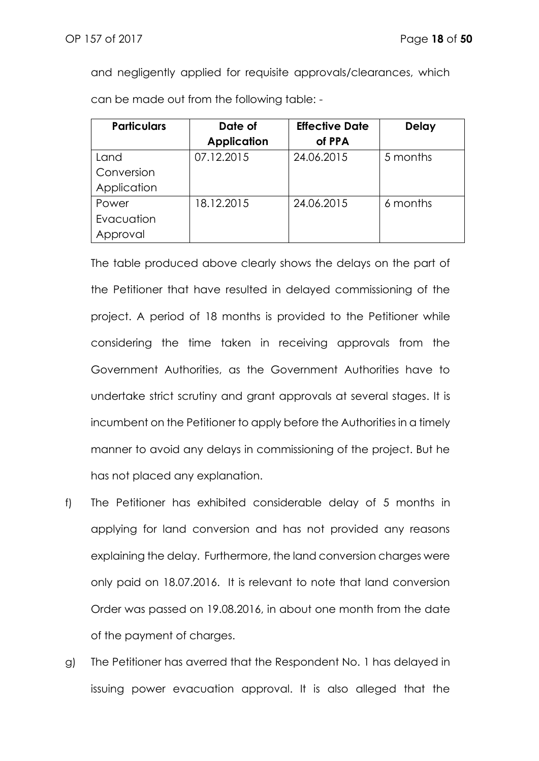and negligently applied for requisite approvals/clearances, which can be made out from the following table: -

| <b>Particulars</b> | <b>Effective Date</b><br>Date of |            | <b>Delay</b> |
|--------------------|----------------------------------|------------|--------------|
|                    | <b>Application</b>               | of PPA     |              |
| Land               | 07.12.2015                       | 24.06.2015 | 5 months     |
| Conversion         |                                  |            |              |
| Application        |                                  |            |              |
| Power              | 18.12.2015                       | 24.06.2015 | 6 months     |
| Evacuation         |                                  |            |              |
| Approval           |                                  |            |              |

The table produced above clearly shows the delays on the part of the Petitioner that have resulted in delayed commissioning of the project. A period of 18 months is provided to the Petitioner while considering the time taken in receiving approvals from the Government Authorities, as the Government Authorities have to undertake strict scrutiny and grant approvals at several stages. It is incumbent on the Petitioner to apply before the Authorities in a timely manner to avoid any delays in commissioning of the project. But he has not placed any explanation.

- f) The Petitioner has exhibited considerable delay of 5 months in applying for land conversion and has not provided any reasons explaining the delay. Furthermore, the land conversion charges were only paid on 18.07.2016. It is relevant to note that land conversion Order was passed on 19.08.2016, in about one month from the date of the payment of charges.
- g) The Petitioner has averred that the Respondent No. 1 has delayed in issuing power evacuation approval. It is also alleged that the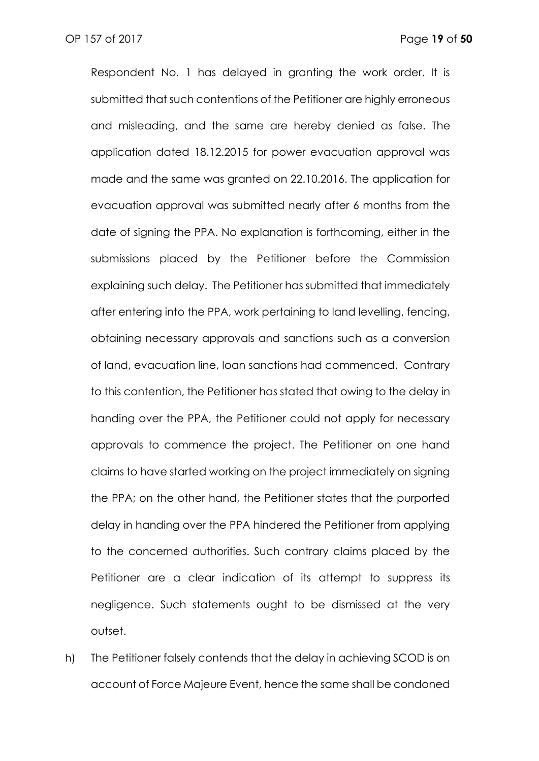Respondent No. 1 has delayed in granting the work order. It is submitted that such contentions of the Petitioner are highly erroneous and misleading, and the same are hereby denied as false. The application dated 18.12.2015 for power evacuation approval was made and the same was granted on 22.10.2016. The application for evacuation approval was submitted nearly after 6 months from the date of signing the PPA. No explanation is forthcoming, either in the submissions placed by the Petitioner before the Commission explaining such delay. The Petitioner has submitted that immediately after entering into the PPA, work pertaining to land levelling, fencing, obtaining necessary approvals and sanctions such as a conversion of land, evacuation line, loan sanctions had commenced. Contrary to this contention, the Petitioner has stated that owing to the delay in handing over the PPA, the Petitioner could not apply for necessary approvals to commence the project. The Petitioner on one hand claims to have started working on the project immediately on signing the PPA; on the other hand, the Petitioner states that the purported delay in handing over the PPA hindered the Petitioner from applying to the concerned authorities. Such contrary claims placed by the Petitioner are a clear indication of its attempt to suppress its negligence. Such statements ought to be dismissed at the very outset.

h) The Petitioner falsely contends that the delay in achieving SCOD is on account of Force Majeure Event, hence the same shall be condoned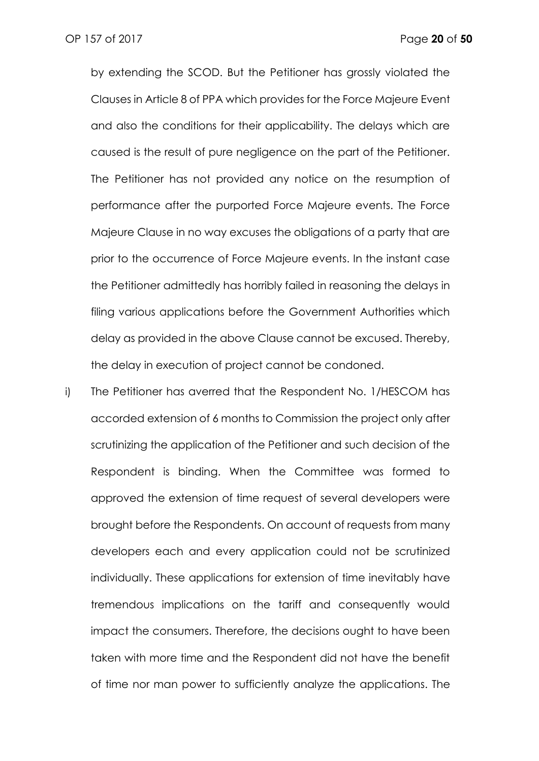by extending the SCOD. But the Petitioner has grossly violated the Clauses in Article 8 of PPA which provides for the Force Majeure Event and also the conditions for their applicability. The delays which are caused is the result of pure negligence on the part of the Petitioner. The Petitioner has not provided any notice on the resumption of performance after the purported Force Majeure events. The Force Majeure Clause in no way excuses the obligations of a party that are prior to the occurrence of Force Majeure events. In the instant case the Petitioner admittedly has horribly failed in reasoning the delays in filing various applications before the Government Authorities which delay as provided in the above Clause cannot be excused. Thereby, the delay in execution of project cannot be condoned.

i) The Petitioner has averred that the Respondent No. 1/HESCOM has accorded extension of 6 months to Commission the project only after scrutinizing the application of the Petitioner and such decision of the Respondent is binding. When the Committee was formed to approved the extension of time request of several developers were brought before the Respondents. On account of requests from many developers each and every application could not be scrutinized individually. These applications for extension of time inevitably have tremendous implications on the tariff and consequently would impact the consumers. Therefore, the decisions ought to have been taken with more time and the Respondent did not have the benefit of time nor man power to sufficiently analyze the applications. The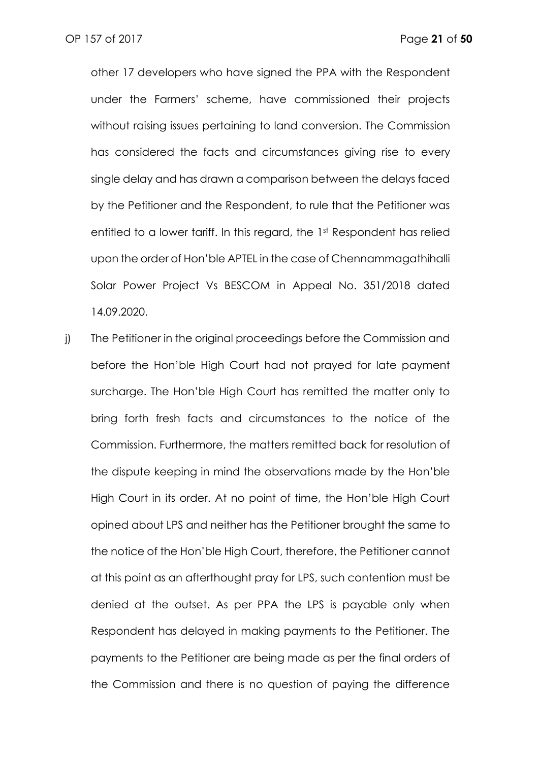other 17 developers who have signed the PPA with the Respondent under the Farmers' scheme, have commissioned their projects without raising issues pertaining to land conversion. The Commission has considered the facts and circumstances giving rise to every single delay and has drawn a comparison between the delays faced by the Petitioner and the Respondent, to rule that the Petitioner was entitled to a lower tariff. In this regard, the 1st Respondent has relied upon the order of Hon'ble APTEL in the case of Chennammagathihalli Solar Power Project Vs BESCOM in Appeal No. 351/2018 dated 14.09.2020.

j) The Petitioner in the original proceedings before the Commission and before the Hon'ble High Court had not prayed for late payment surcharge. The Hon'ble High Court has remitted the matter only to bring forth fresh facts and circumstances to the notice of the Commission. Furthermore, the matters remitted back for resolution of the dispute keeping in mind the observations made by the Hon'ble High Court in its order. At no point of time, the Hon'ble High Court opined about LPS and neither has the Petitioner brought the same to the notice of the Hon'ble High Court, therefore, the Petitioner cannot at this point as an afterthought pray for LPS, such contention must be denied at the outset. As per PPA the LPS is payable only when Respondent has delayed in making payments to the Petitioner. The payments to the Petitioner are being made as per the final orders of the Commission and there is no question of paying the difference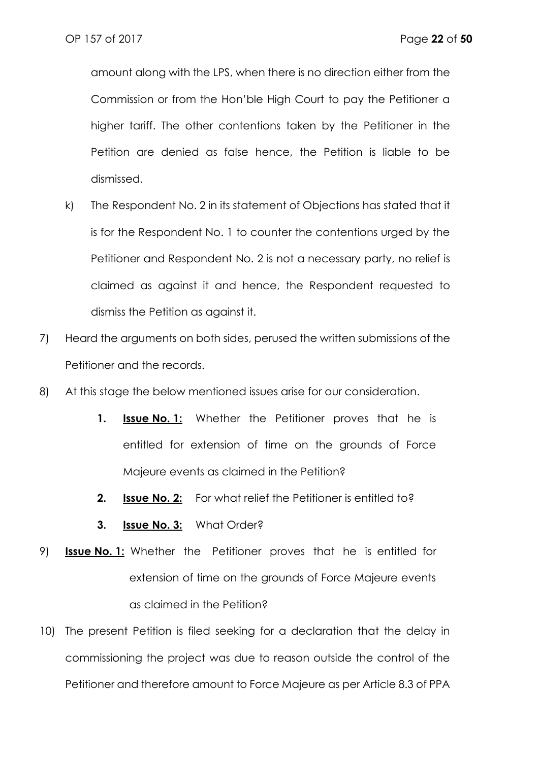amount along with the LPS, when there is no direction either from the Commission or from the Hon'ble High Court to pay the Petitioner a higher tariff. The other contentions taken by the Petitioner in the Petition are denied as false hence, the Petition is liable to be dismissed.

- k) The Respondent No. 2 in its statement of Objections has stated that it is for the Respondent No. 1 to counter the contentions urged by the Petitioner and Respondent No. 2 is not a necessary party, no relief is claimed as against it and hence, the Respondent requested to dismiss the Petition as against it.
- 7) Heard the arguments on both sides, perused the written submissions of the Petitioner and the records.
- 8) At this stage the below mentioned issues arise for our consideration.
	- **1. Issue No. 1:** Whether the Petitioner proves that he is entitled for extension of time on the grounds of Force Majeure events as claimed in the Petition?
	- **2. Issue No. 2:** For what relief the Petitioner is entitled to?
	- **3. Issue No. 3:** What Order?
- 9) **Issue No. 1:** Whether the Petitioner proves that he is entitled for extension of time on the grounds of Force Majeure events as claimed in the Petition?
- 10) The present Petition is filed seeking for a declaration that the delay in commissioning the project was due to reason outside the control of the Petitioner and therefore amount to Force Majeure as per Article 8.3 of PPA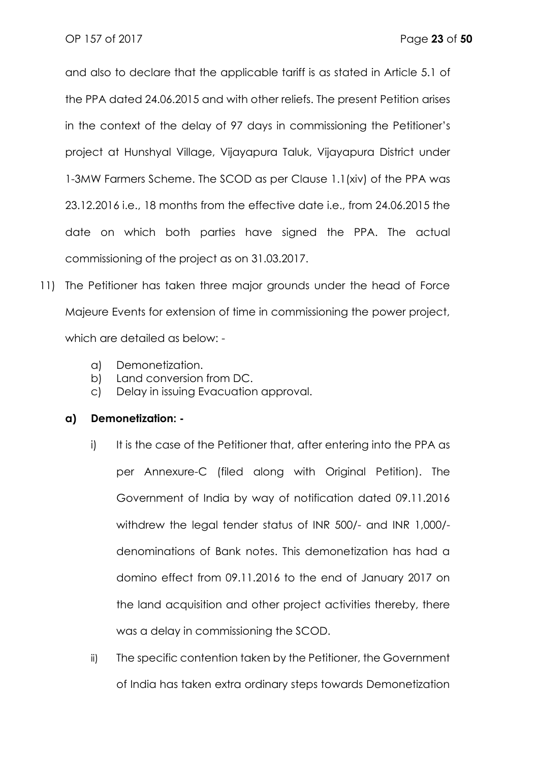and also to declare that the applicable tariff is as stated in Article 5.1 of the PPA dated 24.06.2015 and with other reliefs. The present Petition arises in the context of the delay of 97 days in commissioning the Petitioner's project at Hunshyal Village, Vijayapura Taluk, Vijayapura District under 1-3MW Farmers Scheme. The SCOD as per Clause 1.1(xiv) of the PPA was 23.12.2016 i.e., 18 months from the effective date i.e., from 24.06.2015 the date on which both parties have signed the PPA. The actual commissioning of the project as on 31.03.2017.

- 11) The Petitioner has taken three major grounds under the head of Force Majeure Events for extension of time in commissioning the power project, which are detailed as below:
	- a) Demonetization.
	- b) Land conversion from DC.
	- c) Delay in issuing Evacuation approval.

#### **a) Demonetization: -**

- i) It is the case of the Petitioner that, after entering into the PPA as per Annexure-C (filed along with Original Petition). The Government of India by way of notification dated 09.11.2016 withdrew the legal tender status of INR 500/- and INR 1,000/ denominations of Bank notes. This demonetization has had a domino effect from 09.11.2016 to the end of January 2017 on the land acquisition and other project activities thereby, there was a delay in commissioning the SCOD.
- ii) The specific contention taken by the Petitioner, the Government of India has taken extra ordinary steps towards Demonetization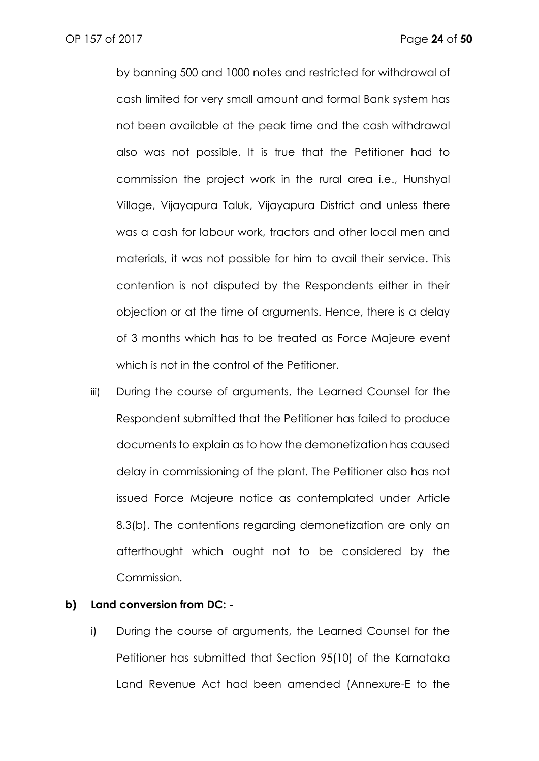by banning 500 and 1000 notes and restricted for withdrawal of cash limited for very small amount and formal Bank system has not been available at the peak time and the cash withdrawal also was not possible. It is true that the Petitioner had to commission the project work in the rural area i.e., Hunshyal Village, Vijayapura Taluk, Vijayapura District and unless there was a cash for labour work, tractors and other local men and materials, it was not possible for him to avail their service. This contention is not disputed by the Respondents either in their objection or at the time of arguments. Hence, there is a delay of 3 months which has to be treated as Force Majeure event which is not in the control of the Petitioner.

iii) During the course of arguments, the Learned Counsel for the Respondent submitted that the Petitioner has failed to produce documents to explain as to how the demonetization has caused delay in commissioning of the plant. The Petitioner also has not issued Force Majeure notice as contemplated under Article 8.3(b). The contentions regarding demonetization are only an afterthought which ought not to be considered by the Commission.

#### **b) Land conversion from DC: -**

i) During the course of arguments, the Learned Counsel for the Petitioner has submitted that Section 95(10) of the Karnataka Land Revenue Act had been amended (Annexure-E to the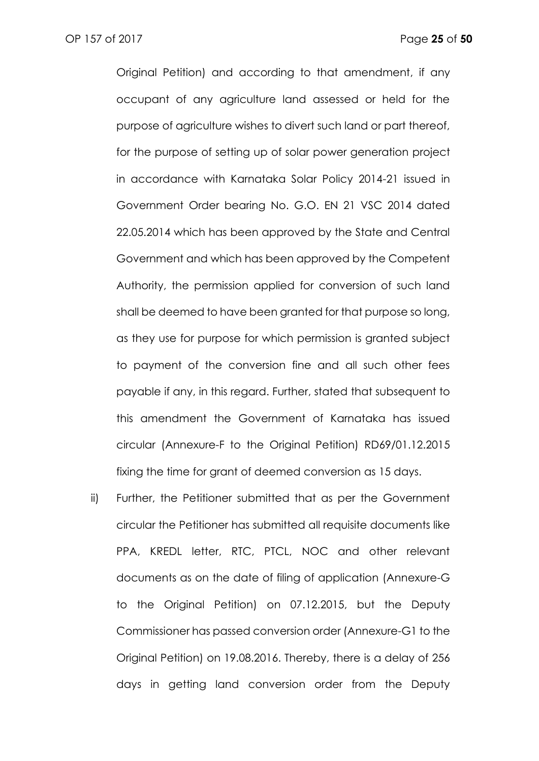Original Petition) and according to that amendment, if any occupant of any agriculture land assessed or held for the purpose of agriculture wishes to divert such land or part thereof, for the purpose of setting up of solar power generation project in accordance with Karnataka Solar Policy 2014-21 issued in Government Order bearing No. G.O. EN 21 VSC 2014 dated 22.05.2014 which has been approved by the State and Central Government and which has been approved by the Competent Authority, the permission applied for conversion of such land shall be deemed to have been granted for that purpose so long, as they use for purpose for which permission is granted subject to payment of the conversion fine and all such other fees payable if any, in this regard. Further, stated that subsequent to this amendment the Government of Karnataka has issued circular (Annexure-F to the Original Petition) RD69/01.12.2015 fixing the time for grant of deemed conversion as 15 days.

ii) Further, the Petitioner submitted that as per the Government circular the Petitioner has submitted all requisite documents like PPA, KREDL letter, RTC, PTCL, NOC and other relevant documents as on the date of filing of application (Annexure-G to the Original Petition) on 07.12.2015, but the Deputy Commissioner has passed conversion order (Annexure-G1 to the Original Petition) on 19.08.2016. Thereby, there is a delay of 256 days in getting land conversion order from the Deputy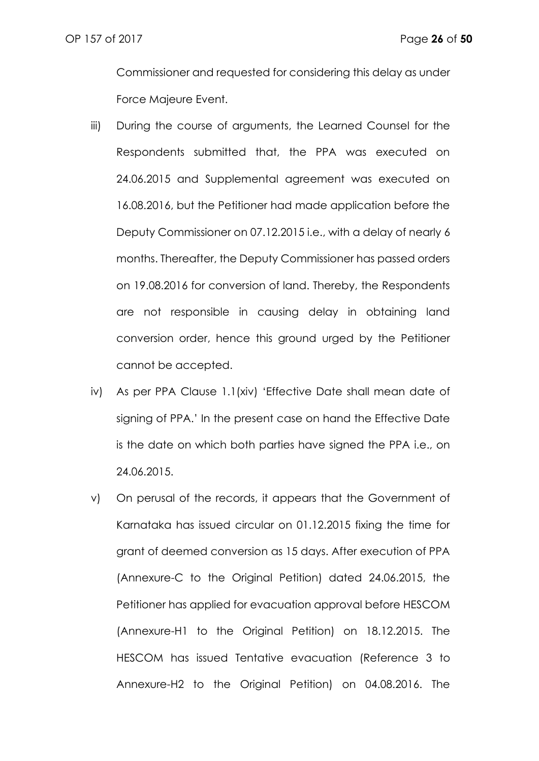Commissioner and requested for considering this delay as under Force Majeure Event.

- iii) During the course of arguments, the Learned Counsel for the Respondents submitted that, the PPA was executed on 24.06.2015 and Supplemental agreement was executed on 16.08.2016, but the Petitioner had made application before the Deputy Commissioner on 07.12.2015 i.e., with a delay of nearly 6 months. Thereafter, the Deputy Commissioner has passed orders on 19.08.2016 for conversion of land. Thereby, the Respondents are not responsible in causing delay in obtaining land conversion order, hence this ground urged by the Petitioner cannot be accepted.
- iv) As per PPA Clause 1.1(xiv) 'Effective Date shall mean date of signing of PPA.' In the present case on hand the Effective Date is the date on which both parties have signed the PPA i.e., on 24.06.2015.
- v) On perusal of the records, it appears that the Government of Karnataka has issued circular on 01.12.2015 fixing the time for grant of deemed conversion as 15 days. After execution of PPA (Annexure-C to the Original Petition) dated 24.06.2015, the Petitioner has applied for evacuation approval before HESCOM (Annexure-H1 to the Original Petition) on 18.12.2015. The HESCOM has issued Tentative evacuation (Reference 3 to Annexure-H2 to the Original Petition) on 04.08.2016. The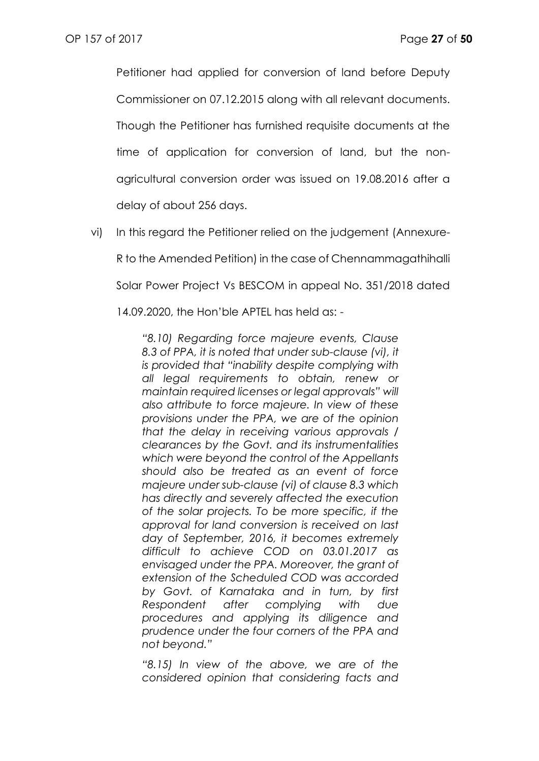Petitioner had applied for conversion of land before Deputy Commissioner on 07.12.2015 along with all relevant documents. Though the Petitioner has furnished requisite documents at the time of application for conversion of land, but the nonagricultural conversion order was issued on 19.08.2016 after a delay of about 256 days.

vi) In this regard the Petitioner relied on the judgement (Annexure-R to the Amended Petition) in the case of Chennammagathihalli Solar Power Project Vs BESCOM in appeal No. 351/2018 dated 14.09.2020, the Hon'ble APTEL has held as: -

> *"8.10) Regarding force majeure events, Clause 8.3 of PPA, it is noted that under sub-clause (vi), it is provided that "inability despite complying with all legal requirements to obtain, renew or maintain required licenses or legal approvals" will also attribute to force majeure. In view of these provisions under the PPA, we are of the opinion that the delay in receiving various approvals / clearances by the Govt. and its instrumentalities which were beyond the control of the Appellants should also be treated as an event of force majeure under sub-clause (vi) of clause 8.3 which has directly and severely affected the execution of the solar projects. To be more specific, if the approval for land conversion is received on last day of September, 2016, it becomes extremely difficult to achieve COD on 03.01.2017 as envisaged under the PPA. Moreover, the grant of extension of the Scheduled COD was accorded by Govt. of Karnataka and in turn, by first Respondent after complying with due procedures and applying its diligence and prudence under the four corners of the PPA and not beyond."*

> *"8.15) In view of the above, we are of the considered opinion that considering facts and*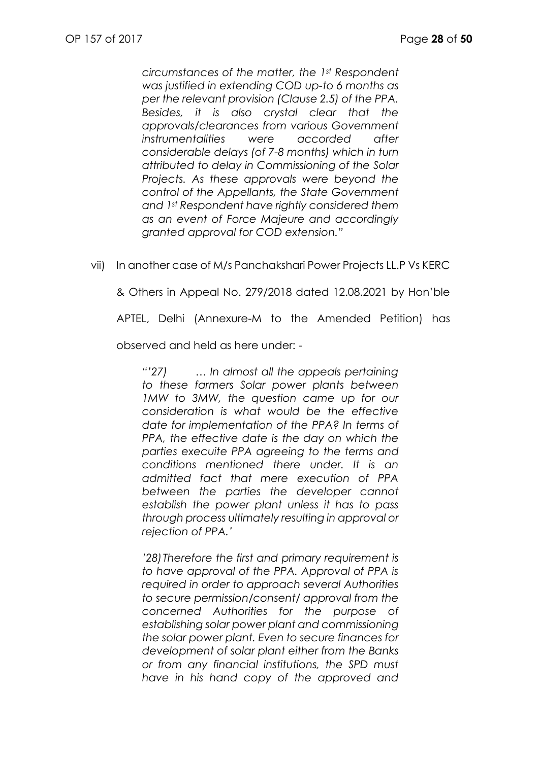*circumstances of the matter, the 1st Respondent was justified in extending COD up-to 6 months as per the relevant provision (Clause 2.5) of the PPA. Besides, it is also crystal clear that the approvals/clearances from various Government instrumentalities were accorded after considerable delays (of 7-8 months) which in turn attributed to delay in Commissioning of the Solar Projects. As these approvals were beyond the control of the Appellants, the State Government and 1st Respondent have rightly considered them as an event of Force Majeure and accordingly granted approval for COD extension."*

vii) In another case of M/s Panchakshari Power Projects LL.P Vs KERC

& Others in Appeal No. 279/2018 dated 12.08.2021 by Hon'ble

APTEL, Delhi (Annexure-M to the Amended Petition) has

observed and held as here under: -

*"'27) … In almost all the appeals pertaining to these farmers Solar power plants between 1MW to 3MW, the question came up for our consideration is what would be the effective date for implementation of the PPA? In terms of PPA, the effective date is the day on which the parties execuite PPA agreeing to the terms and conditions mentioned there under. It is an admitted fact that mere execution of PPA between the parties the developer cannot establish the power plant unless it has to pass through process ultimately resulting in approval or rejection of PPA.'*

*'28)Therefore the first and primary requirement is to have approval of the PPA. Approval of PPA is required in order to approach several Authorities to secure permission/consent/ approval from the concerned Authorities for the purpose of establishing solar power plant and commissioning the solar power plant. Even to secure finances for development of solar plant either from the Banks or from any financial institutions, the SPD must have in his hand copy of the approved and*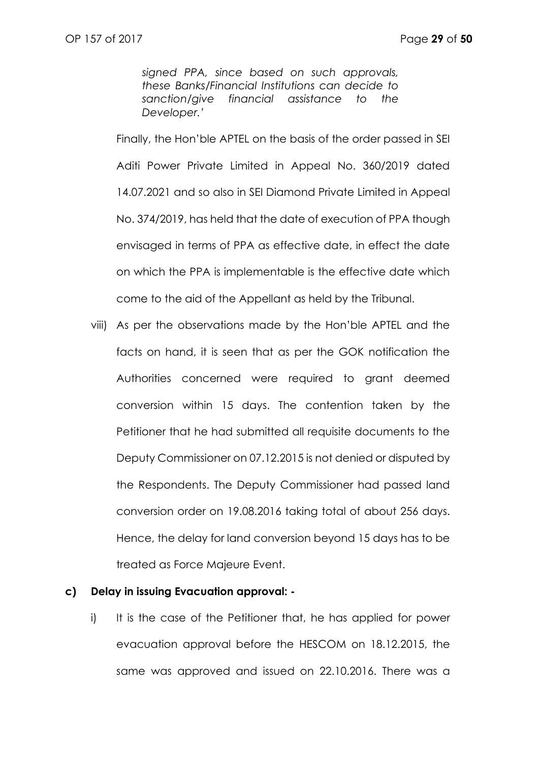*signed PPA, since based on such approvals, these Banks/Financial Institutions can decide to sanction/give financial assistance to the Developer.'*

Finally, the Hon'ble APTEL on the basis of the order passed in SEI Aditi Power Private Limited in Appeal No. 360/2019 dated 14.07.2021 and so also in SEI Diamond Private Limited in Appeal No. 374/2019, has held that the date of execution of PPA though envisaged in terms of PPA as effective date, in effect the date on which the PPA is implementable is the effective date which come to the aid of the Appellant as held by the Tribunal.

viii) As per the observations made by the Hon'ble APTEL and the facts on hand, it is seen that as per the GOK notification the Authorities concerned were required to grant deemed conversion within 15 days. The contention taken by the Petitioner that he had submitted all requisite documents to the Deputy Commissioner on 07.12.2015 is not denied or disputed by the Respondents. The Deputy Commissioner had passed land conversion order on 19.08.2016 taking total of about 256 days. Hence, the delay for land conversion beyond 15 days has to be treated as Force Majeure Event.

#### **c) Delay in issuing Evacuation approval: -**

i) It is the case of the Petitioner that, he has applied for power evacuation approval before the HESCOM on 18.12.2015, the same was approved and issued on 22.10.2016. There was a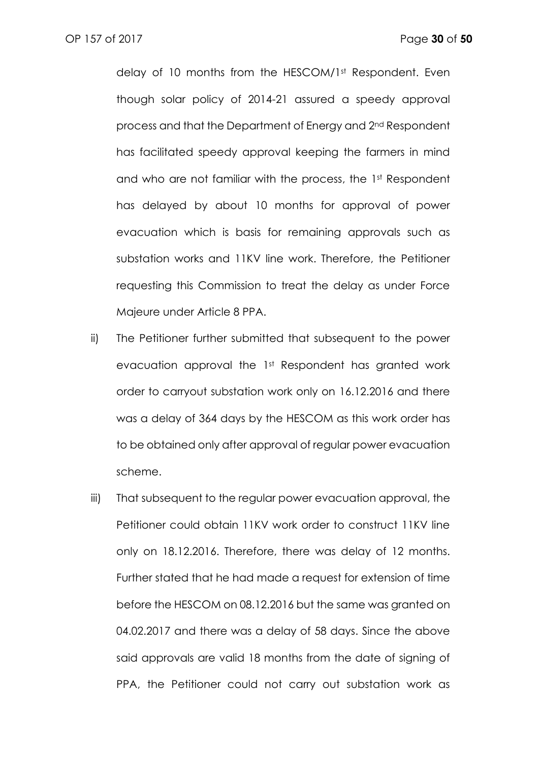delay of 10 months from the HESCOM/1st Respondent. Even though solar policy of 2014-21 assured a speedy approval process and that the Department of Energy and 2nd Respondent has facilitated speedy approval keeping the farmers in mind and who are not familiar with the process, the 1st Respondent has delayed by about 10 months for approval of power evacuation which is basis for remaining approvals such as substation works and 11KV line work. Therefore, the Petitioner requesting this Commission to treat the delay as under Force Majeure under Article 8 PPA.

- ii) The Petitioner further submitted that subsequent to the power evacuation approval the 1st Respondent has granted work order to carryout substation work only on 16.12.2016 and there was a delay of 364 days by the HESCOM as this work order has to be obtained only after approval of regular power evacuation scheme.
- iii) That subsequent to the regular power evacuation approval, the Petitioner could obtain 11KV work order to construct 11KV line only on 18.12.2016. Therefore, there was delay of 12 months. Further stated that he had made a request for extension of time before the HESCOM on 08.12.2016 but the same was granted on 04.02.2017 and there was a delay of 58 days. Since the above said approvals are valid 18 months from the date of signing of PPA, the Petitioner could not carry out substation work as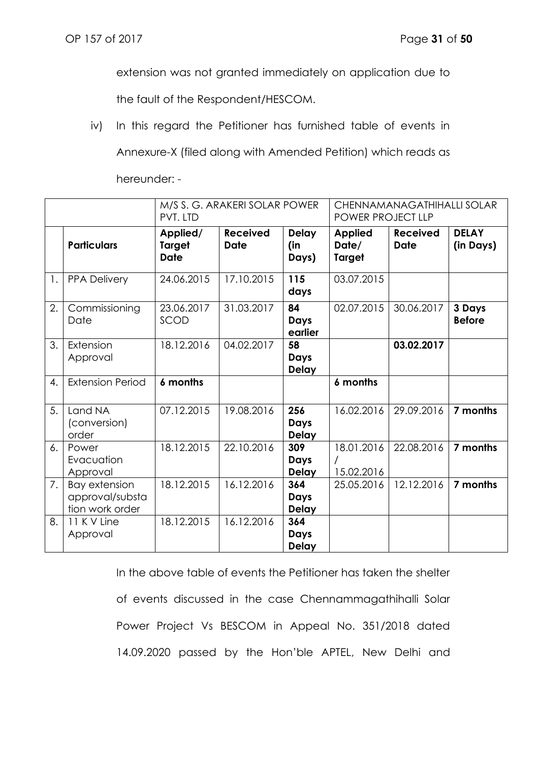extension was not granted immediately on application due to

the fault of the Respondent/HESCOM.

iv) In this regard the Petitioner has furnished table of events in

Annexure-X (filed along with Amended Petition) which reads as

hereunder: -

|    |                                                            | M/S S. G. ARAKERI SOLAR POWER<br>PVT. LTD |                                |                                    | CHENNAMANAGATHIHALLI SOLAR<br>POWER PROJECT LLP |                                |                           |
|----|------------------------------------------------------------|-------------------------------------------|--------------------------------|------------------------------------|-------------------------------------------------|--------------------------------|---------------------------|
|    | <b>Particulars</b>                                         | Applied/<br><b>Target</b><br><b>Date</b>  | <b>Received</b><br><b>Date</b> | <b>Delay</b><br>(in<br>Days)       | <b>Applied</b><br>Date/<br><b>Target</b>        | <b>Received</b><br><b>Date</b> | <b>DELAY</b><br>(in Days) |
| 1. | <b>PPA Delivery</b>                                        | 24.06.2015                                | 17.10.2015                     | 115<br>days                        | 03.07.2015                                      |                                |                           |
| 2. | Commissioning<br>Date                                      | 23.06.2017<br>SCOD                        | 31.03.2017                     | 84<br>Days<br>earlier              | 02.07.2015                                      | 30.06.2017                     | 3 Days<br><b>Before</b>   |
| 3. | Extension<br>Approval                                      | 18.12.2016                                | 04.02.2017                     | 58<br><b>Days</b><br><b>Delay</b>  |                                                 | 03.02.2017                     |                           |
| 4. | <b>Extension Period</b>                                    | 6 months                                  |                                |                                    | 6 months                                        |                                |                           |
| 5. | Land NA<br>(conversion)<br>order                           | 07.12.2015                                | 19.08.2016                     | 256<br><b>Days</b><br><b>Delay</b> | 16.02.2016                                      | 29.09.2016                     | 7 months                  |
| 6. | Power<br>Evacuation<br>Approval                            | 18.12.2015                                | 22.10.2016                     | 309<br>Days<br><b>Delay</b>        | 18.01.2016<br>15.02.2016                        | 22.08.2016                     | 7 months                  |
| 7. | <b>Bay extension</b><br>approval/substa<br>tion work order | 18.12.2015                                | 16.12.2016                     | 364<br>Days<br><b>Delay</b>        | 25.05.2016                                      | 12.12.2016                     | 7 months                  |
| 8. | 11 K V Line<br>Approval                                    | 18.12.2015                                | 16.12.2016                     | 364<br>Days<br><b>Delay</b>        |                                                 |                                |                           |

In the above table of events the Petitioner has taken the shelter of events discussed in the case Chennammagathihalli Solar Power Project Vs BESCOM in Appeal No. 351/2018 dated 14.09.2020 passed by the Hon'ble APTEL, New Delhi and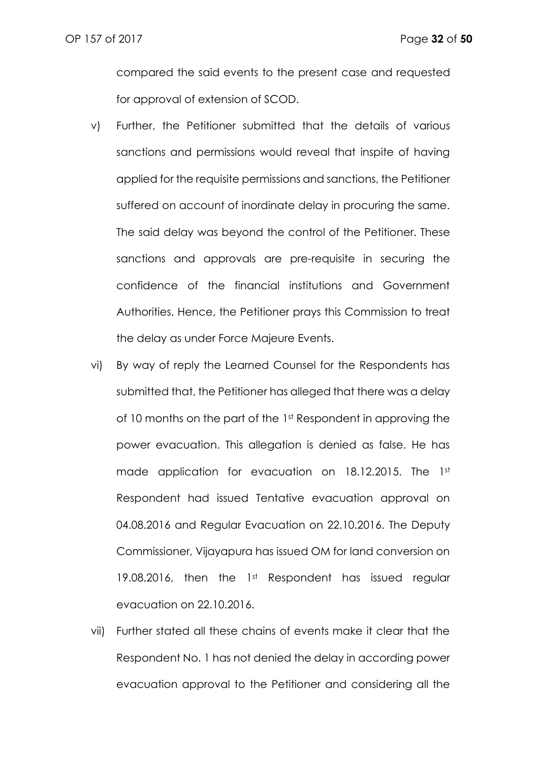compared the said events to the present case and requested for approval of extension of SCOD.

- v) Further, the Petitioner submitted that the details of various sanctions and permissions would reveal that inspite of having applied for the requisite permissions and sanctions, the Petitioner suffered on account of inordinate delay in procuring the same. The said delay was beyond the control of the Petitioner. These sanctions and approvals are pre-requisite in securing the confidence of the financial institutions and Government Authorities. Hence, the Petitioner prays this Commission to treat the delay as under Force Majeure Events.
- vi) By way of reply the Learned Counsel for the Respondents has submitted that, the Petitioner has alleged that there was a delay of 10 months on the part of the 1st Respondent in approving the power evacuation. This allegation is denied as false. He has made application for evacuation on 18.12.2015. The 1st Respondent had issued Tentative evacuation approval on 04.08.2016 and Regular Evacuation on 22.10.2016. The Deputy Commissioner, Vijayapura has issued OM for land conversion on 19.08.2016, then the 1st Respondent has issued regular evacuation on 22.10.2016.
- vii) Further stated all these chains of events make it clear that the Respondent No. 1 has not denied the delay in according power evacuation approval to the Petitioner and considering all the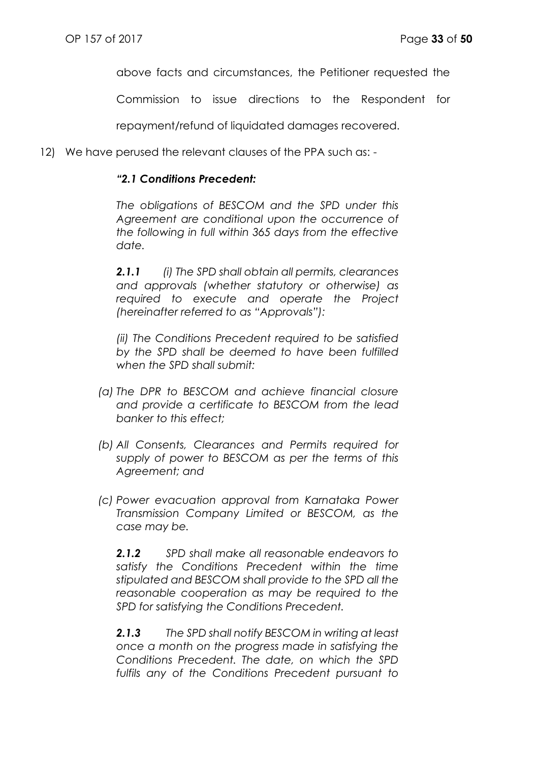above facts and circumstances, the Petitioner requested the

Commission to issue directions to the Respondent for

repayment/refund of liquidated damages recovered.

12) We have perused the relevant clauses of the PPA such as: -

#### *"2.1 Conditions Precedent:*

*The obligations of BESCOM and the SPD under this Agreement are conditional upon the occurrence of the following in full within 365 days from the effective date.*

*2.1.1 (i) The SPD shall obtain all permits, clearances and approvals (whether statutory or otherwise) as required to execute and operate the Project (hereinafter referred to as "Approvals"):*

*(ii) The Conditions Precedent required to be satisfied by the SPD shall be deemed to have been fulfilled when the SPD shall submit:*

- *(a) The DPR to BESCOM and achieve financial closure and provide a certificate to BESCOM from the lead banker to this effect;*
- *(b) All Consents, Clearances and Permits required for supply of power to BESCOM as per the terms of this Agreement; and*
- *(c) Power evacuation approval from Karnataka Power Transmission Company Limited or BESCOM, as the case may be.*

*2.1.2 SPD shall make all reasonable endeavors to satisfy the Conditions Precedent within the time stipulated and BESCOM shall provide to the SPD all the reasonable cooperation as may be required to the SPD for satisfying the Conditions Precedent.*

*2.1.3 The SPD shall notify BESCOM in writing at least once a month on the progress made in satisfying the Conditions Precedent. The date, on which the SPD fulfils any of the Conditions Precedent pursuant to*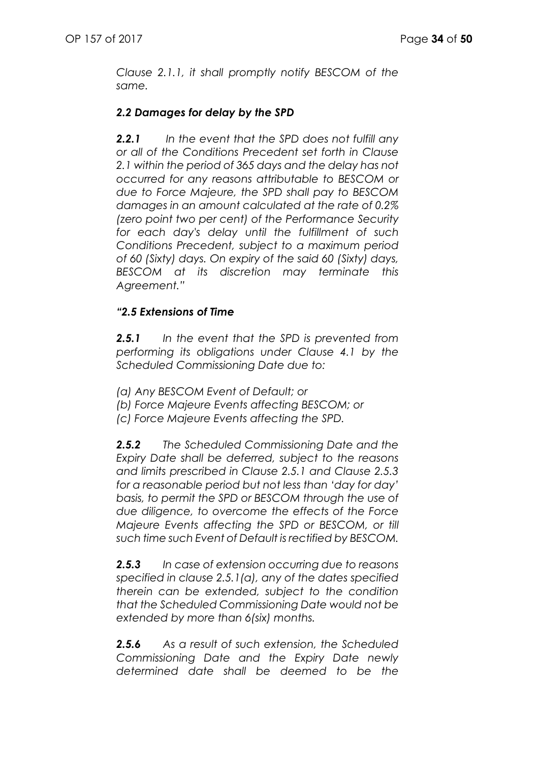*Clause 2.1.1, it shall promptly notify BESCOM of the same.*

# *2.2 Damages for delay by the SPD*

*2.2.1 In the event that the SPD does not fulfill any or all of the Conditions Precedent set forth in Clause 2.1 within the period of 365 days and the delay has not occurred for any reasons attributable to BESCOM or due to Force Majeure, the SPD shall pay to BESCOM damages in an amount calculated at the rate of 0.2% (zero point two per cent) of the Performance Security for each day's delay until the fulfillment of such Conditions Precedent, subject to a maximum period of 60 (Sixty) days. On expiry of the said 60 (Sixty) days, BESCOM at its discretion may terminate this Agreement."*

# *"2.5 Extensions of Time*

*2.5.1 In the event that the SPD is prevented from performing its obligations under Clause 4.1 by the Scheduled Commissioning Date due to:*

- *(a) Any BESCOM Event of Default; or*
- *(b) Force Majeure Events affecting BESCOM; or*
- *(c) Force Majeure Events affecting the SPD.*

*2.5.2 The Scheduled Commissioning Date and the Expiry Date shall be deferred, subject to the reasons and limits prescribed in Clause 2.5.1 and Clause 2.5.3 for a reasonable period but not less than 'day for day' basis, to permit the SPD or BESCOM through the use of due diligence, to overcome the effects of the Force Majeure Events affecting the SPD or BESCOM, or till such time such Event of Default is rectified by BESCOM.*

*2.5.3 In case of extension occurring due to reasons specified in clause 2.5.1(a), any of the dates specified therein can be extended, subject to the condition that the Scheduled Commissioning Date would not be extended by more than 6(six) months.*

*2.5.6 As a result of such extension, the Scheduled Commissioning Date and the Expiry Date newly determined date shall be deemed to be the*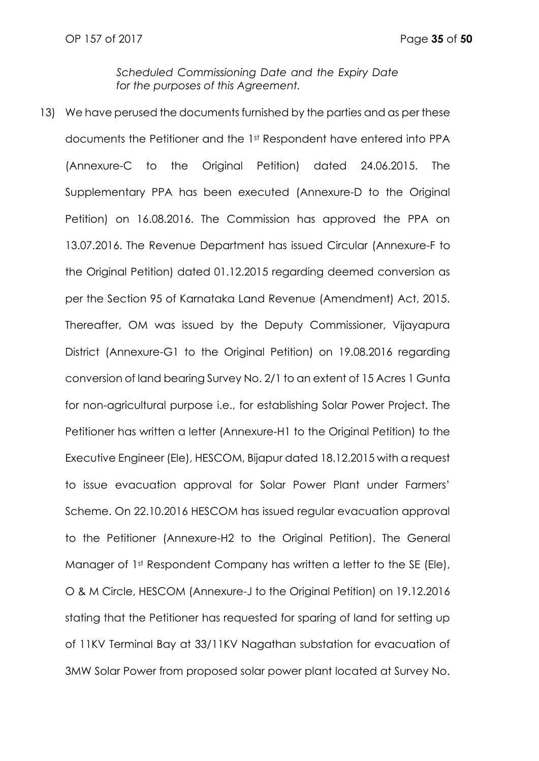*Scheduled Commissioning Date and the Expiry Date for the purposes of this Agreement.*

13) We have perused the documents furnished by the parties and as per these documents the Petitioner and the 1st Respondent have entered into PPA (Annexure-C to the Original Petition) dated 24.06.2015. The Supplementary PPA has been executed (Annexure-D to the Original Petition) on 16.08.2016. The Commission has approved the PPA on 13.07.2016. The Revenue Department has issued Circular (Annexure-F to the Original Petition) dated 01.12.2015 regarding deemed conversion as per the Section 95 of Karnataka Land Revenue (Amendment) Act, 2015. Thereafter, OM was issued by the Deputy Commissioner, Vijayapura District (Annexure-G1 to the Original Petition) on 19.08.2016 regarding conversion of land bearing Survey No. 2/1 to an extent of 15 Acres 1 Gunta for non-agricultural purpose i.e., for establishing Solar Power Project. The Petitioner has written a letter (Annexure-H1 to the Original Petition) to the Executive Engineer (Ele), HESCOM, Bijapur dated 18.12.2015 with a request to issue evacuation approval for Solar Power Plant under Farmers' Scheme. On 22.10.2016 HESCOM has issued regular evacuation approval to the Petitioner (Annexure-H2 to the Original Petition). The General Manager of 1<sup>st</sup> Respondent Company has written a letter to the SE (Ele), O & M Circle, HESCOM (Annexure-J to the Original Petition) on 19.12.2016 stating that the Petitioner has requested for sparing of land for setting up of 11KV Terminal Bay at 33/11KV Nagathan substation for evacuation of 3MW Solar Power from proposed solar power plant located at Survey No.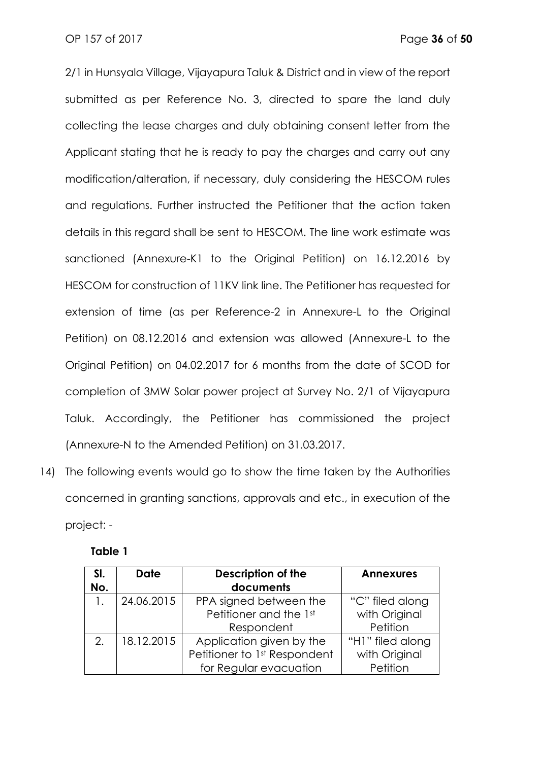2/1 in Hunsyala Village, Vijayapura Taluk & District and in view of the report submitted as per Reference No. 3, directed to spare the land duly collecting the lease charges and duly obtaining consent letter from the Applicant stating that he is ready to pay the charges and carry out any modification/alteration, if necessary, duly considering the HESCOM rules and regulations. Further instructed the Petitioner that the action taken details in this regard shall be sent to HESCOM. The line work estimate was sanctioned (Annexure-K1 to the Original Petition) on 16.12.2016 by HESCOM for construction of 11KV link line. The Petitioner has requested for extension of time (as per Reference-2 in Annexure-L to the Original Petition) on 08.12.2016 and extension was allowed (Annexure-L to the Original Petition) on 04.02.2017 for 6 months from the date of SCOD for completion of 3MW Solar power project at Survey No. 2/1 of Vijayapura Taluk. Accordingly, the Petitioner has commissioned the project (Annexure-N to the Amended Petition) on 31.03.2017.

14) The following events would go to show the time taken by the Authorities concerned in granting sanctions, approvals and etc., in execution of the project: -

| SI. | <b>Date</b> | <b>Description of the</b>    | <b>Annexures</b> |
|-----|-------------|------------------------------|------------------|
| No. |             | documents                    |                  |
|     | 24.06.2015  | PPA signed between the       | "C" filed along  |
|     |             | Petitioner and the 1st       | with Original    |
|     |             | Respondent                   | Petition         |
| 2.  | 18.12.2015  | Application given by the     | "H1" filed along |
|     |             | Petitioner to 1st Respondent | with Original    |
|     |             | for Regular evacuation       | Petition         |

**Table 1**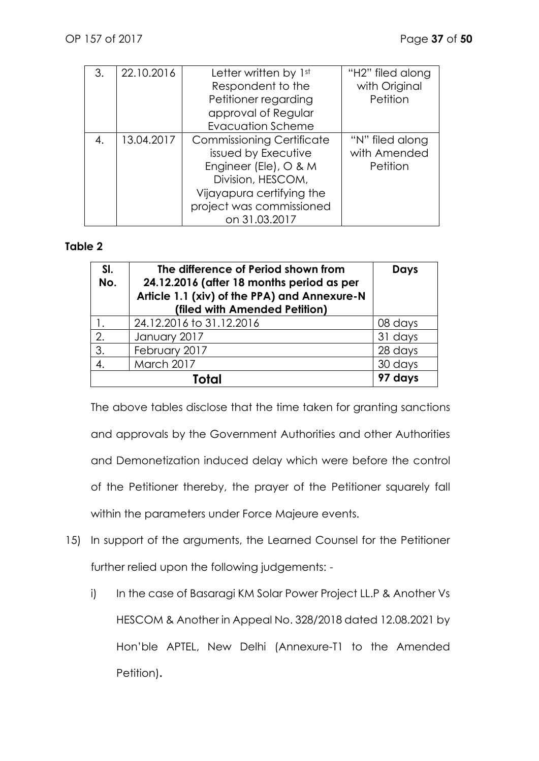| 3. | 22.10.2016 | Letter written by 1st            | "H2" filed along |
|----|------------|----------------------------------|------------------|
|    |            | Respondent to the                | with Original    |
|    |            | Petitioner regarding             | Petition         |
|    |            | approval of Regular              |                  |
|    |            | <b>Evacuation Scheme</b>         |                  |
| 4. | 13.04.2017 | <b>Commissioning Certificate</b> | "N" filed along  |
|    |            | issued by Executive              | with Amended     |
|    |            | Engineer (Ele), O & M            | Petition         |
|    |            | Division, HESCOM,                |                  |
|    |            | Vijayapura certifying the        |                  |
|    |            | project was commissioned         |                  |
|    |            | on 31.03.2017                    |                  |

### **Table 2**

| SI.<br>No. | The difference of Period shown from<br>24.12.2016 (after 18 months period as per<br>Article 1.1 (xiv) of the PPA) and Annexure-N<br>(filed with Amended Petition) | Days    |
|------------|-------------------------------------------------------------------------------------------------------------------------------------------------------------------|---------|
|            | 24.12.2016 to 31.12.2016                                                                                                                                          | 08 days |
| 2.         | January 2017                                                                                                                                                      | 31 days |
| 3.         | February 2017                                                                                                                                                     | 28 days |
| 4.         | March 2017                                                                                                                                                        | 30 days |
|            | 97 days                                                                                                                                                           |         |

The above tables disclose that the time taken for granting sanctions and approvals by the Government Authorities and other Authorities and Demonetization induced delay which were before the control of the Petitioner thereby, the prayer of the Petitioner squarely fall within the parameters under Force Majeure events.

- 15) In support of the arguments, the Learned Counsel for the Petitioner further relied upon the following judgements:
	- i) In the case of Basaragi KM Solar Power Project LL.P & Another Vs HESCOM & Another in Appeal No. 328/2018 dated 12.08.2021 by Hon'ble APTEL, New Delhi (Annexure-T1 to the Amended Petition)**.**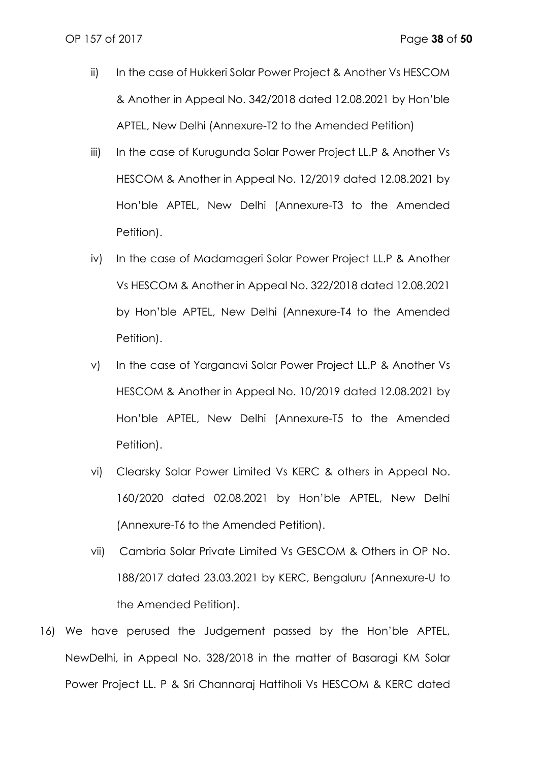- ii) In the case of Hukkeri Solar Power Project & Another Vs HESCOM & Another in Appeal No. 342/2018 dated 12.08.2021 by Hon'ble APTEL, New Delhi (Annexure-T2 to the Amended Petition)
- iii) In the case of Kurugunda Solar Power Project LL.P & Another Vs HESCOM & Another in Appeal No. 12/2019 dated 12.08.2021 by Hon'ble APTEL, New Delhi (Annexure-T3 to the Amended Petition).
- iv) In the case of Madamageri Solar Power Project LL.P & Another Vs HESCOM & Another in Appeal No. 322/2018 dated 12.08.2021 by Hon'ble APTEL, New Delhi (Annexure-T4 to the Amended Petition).
- v) In the case of Yarganavi Solar Power Project LL.P & Another Vs HESCOM & Another in Appeal No. 10/2019 dated 12.08.2021 by Hon'ble APTEL, New Delhi (Annexure-T5 to the Amended Petition).
- vi) Clearsky Solar Power Limited Vs KERC & others in Appeal No. 160/2020 dated 02.08.2021 by Hon'ble APTEL, New Delhi (Annexure-T6 to the Amended Petition).
- vii) Cambria Solar Private Limited Vs GESCOM & Others in OP No. 188/2017 dated 23.03.2021 by KERC, Bengaluru (Annexure-U to the Amended Petition).
- 16) We have perused the Judgement passed by the Hon'ble APTEL, NewDelhi, in Appeal No. 328/2018 in the matter of Basaragi KM Solar Power Project LL. P & Sri Channaraj Hattiholi Vs HESCOM & KERC dated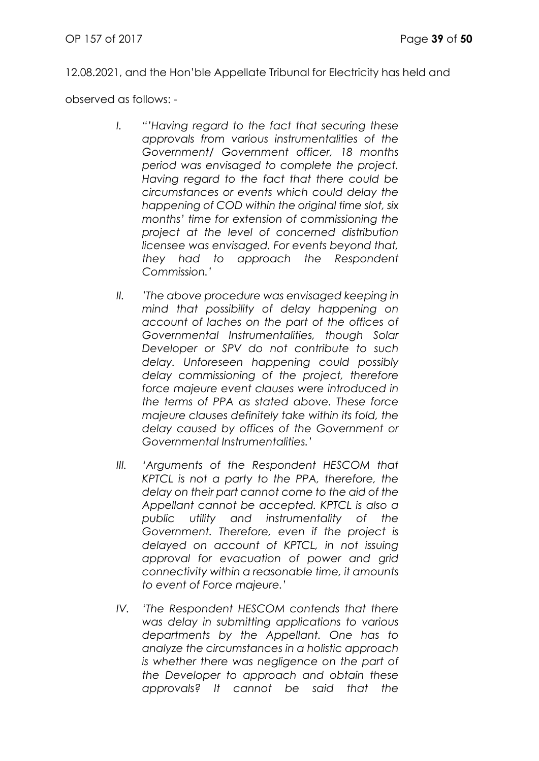12.08.2021, and the Hon'ble Appellate Tribunal for Electricity has held and

observed as follows: -

- *I. "'Having regard to the fact that securing these approvals from various instrumentalities of the Government/ Government officer, 18 months period was envisaged to complete the project. Having regard to the fact that there could be circumstances or events which could delay the happening of COD within the original time slot, six months' time for extension of commissioning the project at the level of concerned distribution licensee was envisaged. For events beyond that, they had to approach the Respondent Commission.'*
- *II. 'The above procedure was envisaged keeping in mind that possibility of delay happening on account of laches on the part of the offices of Governmental Instrumentalities, though Solar Developer or SPV do not contribute to such delay. Unforeseen happening could possibly delay commissioning of the project, therefore force majeure event clauses were introduced in the terms of PPA as stated above. These force majeure clauses definitely take within its fold, the delay caused by offices of the Government or Governmental Instrumentalities.'*
- *III. 'Arguments of the Respondent HESCOM that KPTCL is not a party to the PPA, therefore, the delay on their part cannot come to the aid of the Appellant cannot be accepted. KPTCL is also a public utility and instrumentality of the Government. Therefore, even if the project is delayed on account of KPTCL, in not issuing approval for evacuation of power and grid connectivity within a reasonable time, it amounts to event of Force majeure.'*
- *IV. 'The Respondent HESCOM contends that there was delay in submitting applications to various departments by the Appellant. One has to analyze the circumstances in a holistic approach is whether there was negligence on the part of the Developer to approach and obtain these approvals? It cannot be said that the*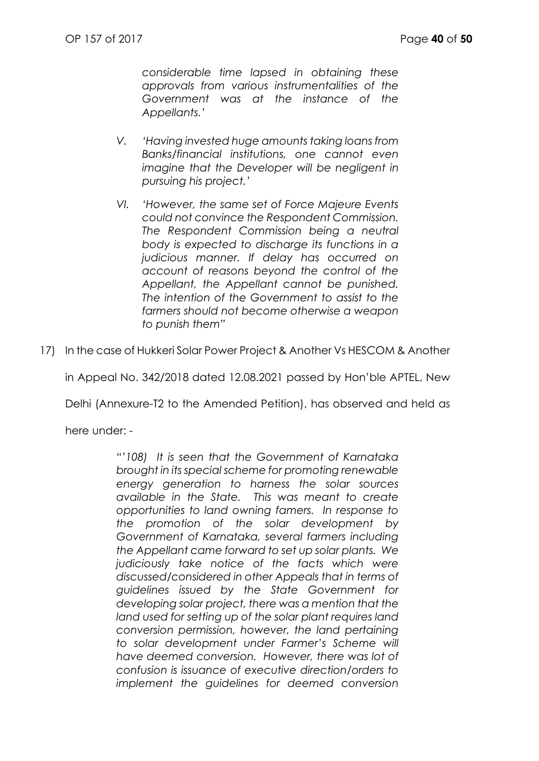*considerable time lapsed in obtaining these approvals from various instrumentalities of the Government was at the instance of the Appellants.'*

- *V. 'Having invested huge amounts taking loans from Banks/financial institutions, one cannot even imagine that the Developer will be negligent in pursuing his project.'*
- *VI. 'However, the same set of Force Majeure Events could not convince the Respondent Commission. The Respondent Commission being a neutral body is expected to discharge its functions in a judicious manner. If delay has occurred on account of reasons beyond the control of the Appellant, the Appellant cannot be punished. The intention of the Government to assist to the farmers should not become otherwise a weapon to punish them"*

17) In the case of Hukkeri Solar Power Project & Another Vs HESCOM & Another

in Appeal No. 342/2018 dated 12.08.2021 passed by Hon'ble APTEL, New

Delhi (Annexure-T2 to the Amended Petition), has observed and held as

here under: -

*"'108) It is seen that the Government of Karnataka brought in its special scheme for promoting renewable energy generation to harness the solar sources available in the State. This was meant to create opportunities to land owning famers. In response to the promotion of the solar development by Government of Karnataka, several farmers including the Appellant came forward to set up solar plants. We judiciously take notice of the facts which were discussed/considered in other Appeals that in terms of guidelines issued by the State Government for developing solar project, there was a mention that the land used for setting up of the solar plant requires land conversion permission, however, the land pertaining to solar development under Farmer's Scheme will have deemed conversion. However, there was lot of confusion is issuance of executive direction/orders to implement the guidelines for deemed conversion*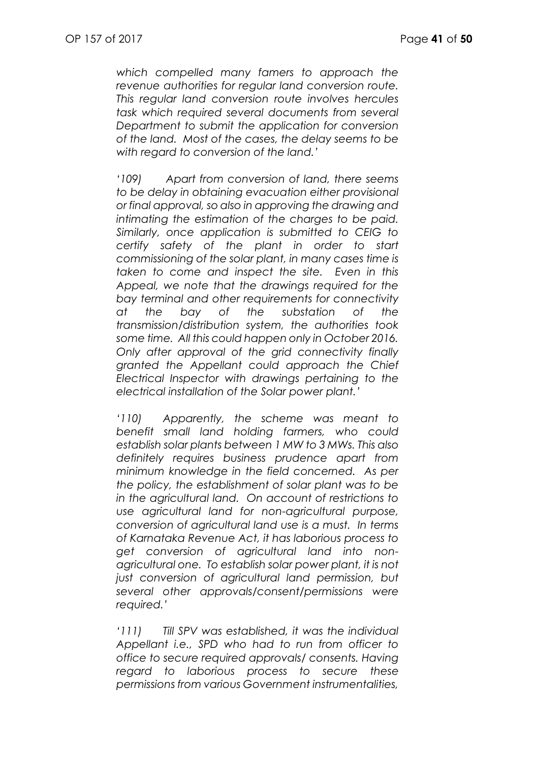*which compelled many famers to approach the revenue authorities for regular land conversion route. This regular land conversion route involves hercules task which required several documents from several Department to submit the application for conversion of the land. Most of the cases, the delay seems to be with regard to conversion of the land.'*

*'109) Apart from conversion of land, there seems to be delay in obtaining evacuation either provisional or final approval, so also in approving the drawing and intimating the estimation of the charges to be paid. Similarly, once application is submitted to CEIG to certify safety of the plant in order to start commissioning of the solar plant, in many cases time is taken to come and inspect the site. Even in this Appeal, we note that the drawings required for the bay terminal and other requirements for connectivity at the bay of the substation of the transmission/distribution system, the authorities took some time. All this could happen only in October 2016. Only after approval of the grid connectivity finally granted the Appellant could approach the Chief Electrical Inspector with drawings pertaining to the electrical installation of the Solar power plant.'*

*'110) Apparently, the scheme was meant to benefit small land holding farmers, who could establish solar plants between 1 MW to 3 MWs. This also definitely requires business prudence apart from minimum knowledge in the field concerned. As per the policy, the establishment of solar plant was to be in the agricultural land. On account of restrictions to use agricultural land for non-agricultural purpose, conversion of agricultural land use is a must. In terms of Karnataka Revenue Act, it has laborious process to get conversion of agricultural land into nonagricultural one. To establish solar power plant, it is not just conversion of agricultural land permission, but several other approvals/consent/permissions were required.'*

*'111) Till SPV was established, it was the individual Appellant i.e., SPD who had to run from officer to office to secure required approvals/ consents. Having regard to laborious process to secure these permissions from various Government instrumentalities,*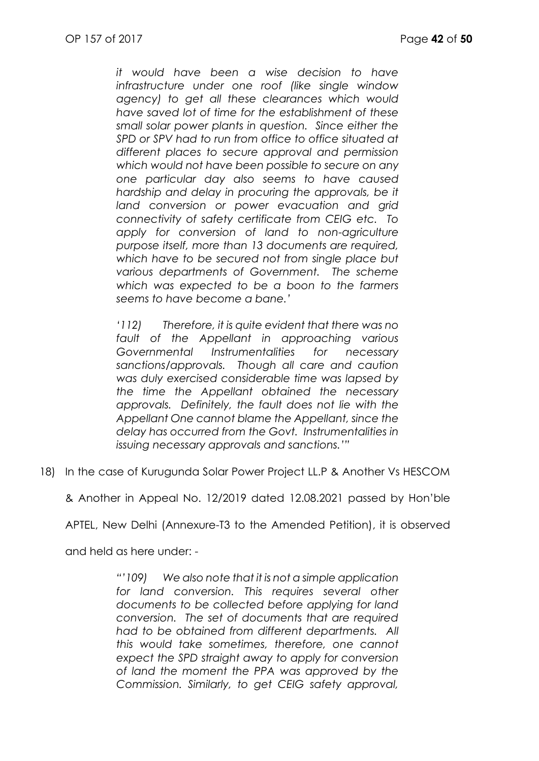*it would have been a wise decision to have infrastructure under one roof (like single window agency) to get all these clearances which would have saved lot of time for the establishment of these small solar power plants in question. Since either the SPD or SPV had to run from office to office situated at different places to secure approval and permission which would not have been possible to secure on any one particular day also seems to have caused hardship and delay in procuring the approvals, be it land conversion or power evacuation and grid connectivity of safety certificate from CEIG etc. To apply for conversion of land to non-agriculture purpose itself, more than 13 documents are required, which have to be secured not from single place but various departments of Government. The scheme which was expected to be a boon to the farmers seems to have become a bane.'*

*'112) Therefore, it is quite evident that there was no fault of the Appellant in approaching various Governmental Instrumentalities for necessary sanctions/approvals. Though all care and caution was duly exercised considerable time was lapsed by the time the Appellant obtained the necessary approvals. Definitely, the fault does not lie with the Appellant One cannot blame the Appellant, since the delay has occurred from the Govt. Instrumentalities in issuing necessary approvals and sanctions.'"*

18) In the case of Kurugunda Solar Power Project LL.P & Another Vs HESCOM

& Another in Appeal No. 12/2019 dated 12.08.2021 passed by Hon'ble

APTEL, New Delhi (Annexure-T3 to the Amended Petition), it is observed

and held as here under: -

*"'109) We also note that it is not a simple application*  for land conversion. This requires several other *documents to be collected before applying for land conversion. The set of documents that are required had to be obtained from different departments. All this would take sometimes, therefore, one cannot expect the SPD straight away to apply for conversion of land the moment the PPA was approved by the Commission. Similarly, to get CEIG safety approval,*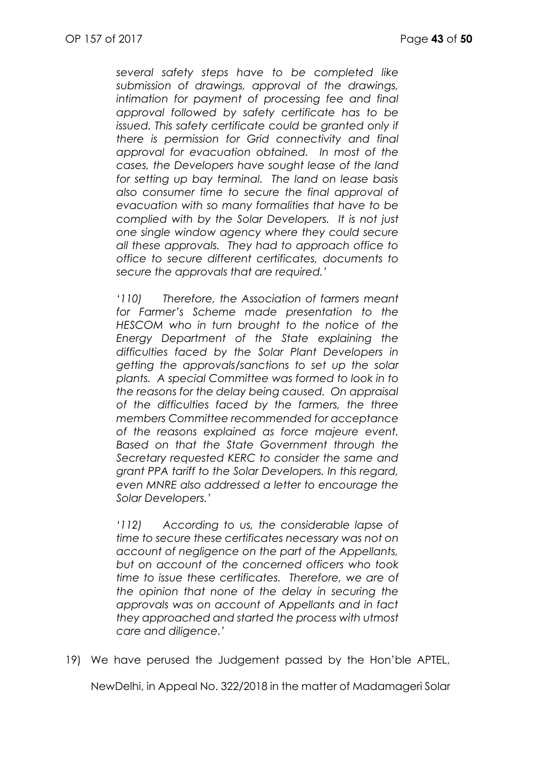*several safety steps have to be completed like submission of drawings, approval of the drawings, intimation for payment of processing fee and final approval followed by safety certificate has to be issued. This safety certificate could be granted only if there is permission for Grid connectivity and final approval for evacuation obtained. In most of the cases, the Developers have sought lease of the land for setting up bay terminal. The land on lease basis also consumer time to secure the final approval of evacuation with so many formalities that have to be complied with by the Solar Developers. It is not just one single window agency where they could secure all these approvals. They had to approach office to office to secure different certificates, documents to secure the approvals that are required.'*

*'110) Therefore, the Association of farmers meant for Farmer's Scheme made presentation to the HESCOM who in turn brought to the notice of the Energy Department of the State explaining the difficulties faced by the Solar Plant Developers in getting the approvals/sanctions to set up the solar plants. A special Committee was formed to look in to the reasons for the delay being caused. On appraisal of the difficulties faced by the farmers, the three members Committee recommended for acceptance of the reasons explained as force majeure event. Based on that the State Government through the Secretary requested KERC to consider the same and grant PPA tariff to the Solar Developers. In this regard, even MNRE also addressed a letter to encourage the Solar Developers.'*

*'112) According to us, the considerable lapse of time to secure these certificates necessary was not on account of negligence on the part of the Appellants, but on account of the concerned officers who took time to issue these certificates. Therefore, we are of the opinion that none of the delay in securing the approvals was on account of Appellants and in fact they approached and started the process with utmost care and diligence.'*

19) We have perused the Judgement passed by the Hon'ble APTEL,

NewDelhi, in Appeal No. 322/2018 in the matter of Madamageri Solar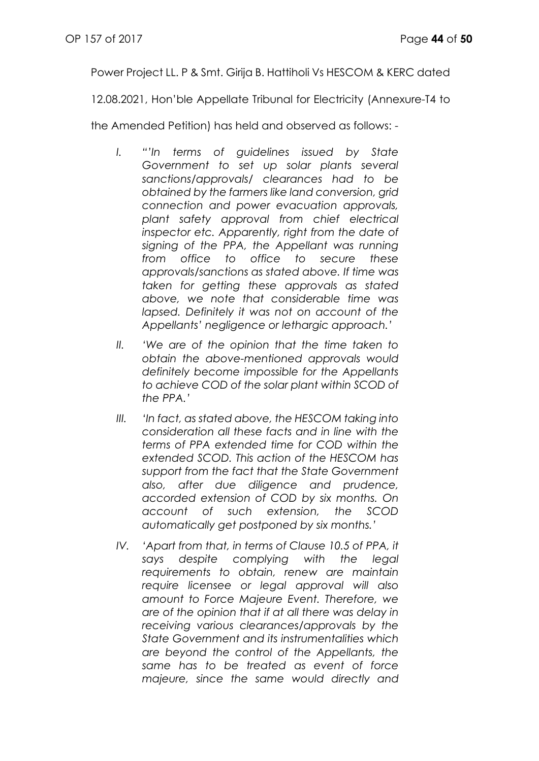Power Project LL. P & Smt. Girija B. Hattiholi Vs HESCOM & KERC dated

12.08.2021, Hon'ble Appellate Tribunal for Electricity (Annexure-T4 to

the Amended Petition) has held and observed as follows: -

- *I. "'In terms of guidelines issued by State Government to set up solar plants several sanctions/approvals/ clearances had to be obtained by the farmers like land conversion, grid connection and power evacuation approvals, plant safety approval from chief electrical inspector etc. Apparently, right from the date of signing of the PPA, the Appellant was running from office to office to secure these approvals/sanctions as stated above. If time was taken for getting these approvals as stated above, we note that considerable time was lapsed. Definitely it was not on account of the Appellants' negligence or lethargic approach.'*
- *II. 'We are of the opinion that the time taken to obtain the above-mentioned approvals would definitely become impossible for the Appellants to achieve COD of the solar plant within SCOD of the PPA.'*
- *III. 'In fact, as stated above, the HESCOM taking into consideration all these facts and in line with the terms of PPA extended time for COD within the extended SCOD. This action of the HESCOM has support from the fact that the State Government also, after due diligence and prudence, accorded extension of COD by six months. On account of such extension, the SCOD automatically get postponed by six months.'*
- *IV. 'Apart from that, in terms of Clause 10.5 of PPA, it says despite complying with the legal requirements to obtain, renew are maintain require licensee or legal approval will also amount to Force Majeure Event. Therefore, we are of the opinion that if at all there was delay in receiving various clearances/approvals by the State Government and its instrumentalities which are beyond the control of the Appellants, the same has to be treated as event of force majeure, since the same would directly and*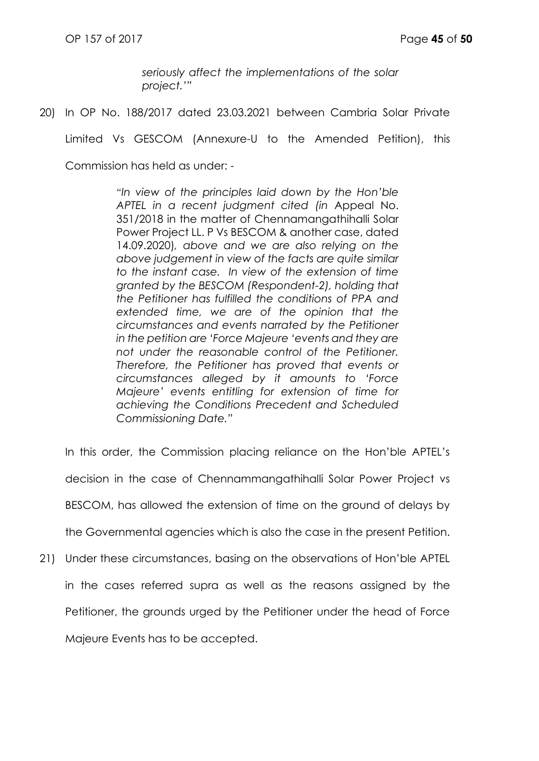*seriously affect the implementations of the solar project.'"*

20) In OP No. 188/2017 dated 23.03.2021 between Cambria Solar Private

Limited Vs GESCOM (Annexure-U to the Amended Petition), this

Commission has held as under: -

*"In view of the principles laid down by the Hon'ble APTEL in a recent judgment cited (in* Appeal No. 351/2018 in the matter of Chennamangathihalli Solar Power Project LL. P Vs BESCOM & another case, dated 14.09.2020)*, above and we are also relying on the above judgement in view of the facts are quite similar to the instant case. In view of the extension of time granted by the BESCOM (Respondent-2), holding that the Petitioner has fulfilled the conditions of PPA and extended time, we are of the opinion that the circumstances and events narrated by the Petitioner in the petition are 'Force Majeure 'events and they are not under the reasonable control of the Petitioner. Therefore, the Petitioner has proved that events or circumstances alleged by it amounts to 'Force Majeure' events entitling for extension of time for achieving the Conditions Precedent and Scheduled Commissioning Date."*

In this order, the Commission placing reliance on the Hon'ble APTEL's decision in the case of Chennammangathihalli Solar Power Project vs BESCOM, has allowed the extension of time on the ground of delays by the Governmental agencies which is also the case in the present Petition. 21) Under these circumstances, basing on the observations of Hon'ble APTEL in the cases referred supra as well as the reasons assigned by the Petitioner, the grounds urged by the Petitioner under the head of Force

Majeure Events has to be accepted.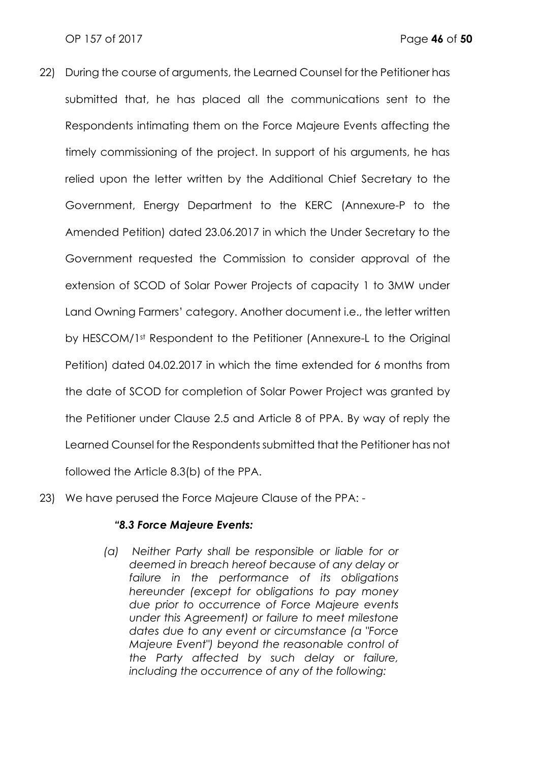- 22) During the course of arguments, the Learned Counsel for the Petitioner has submitted that, he has placed all the communications sent to the Respondents intimating them on the Force Majeure Events affecting the timely commissioning of the project. In support of his arguments, he has relied upon the letter written by the Additional Chief Secretary to the Government, Energy Department to the KERC (Annexure-P to the Amended Petition) dated 23.06.2017 in which the Under Secretary to the Government requested the Commission to consider approval of the extension of SCOD of Solar Power Projects of capacity 1 to 3MW under Land Owning Farmers' category. Another document i.e., the letter written by HESCOM/1st Respondent to the Petitioner (Annexure-L to the Original Petition) dated 04.02.2017 in which the time extended for 6 months from the date of SCOD for completion of Solar Power Project was granted by the Petitioner under Clause 2.5 and Article 8 of PPA. By way of reply the Learned Counsel for the Respondents submitted that the Petitioner has not followed the Article 8.3(b) of the PPA.
- 23) We have perused the Force Majeure Clause of the PPA: -

## *"8.3 Force Majeure Events:*

*(a) Neither Party shall be responsible or liable for or deemed in breach hereof because of any delay or failure in the performance of its obligations hereunder (except for obligations to pay money due prior to occurrence of Force Majeure events under this Agreement) or failure to meet milestone dates due to any event or circumstance (a "Force Majeure Event") beyond the reasonable control of the Party affected by such delay or failure, including the occurrence of any of the following:*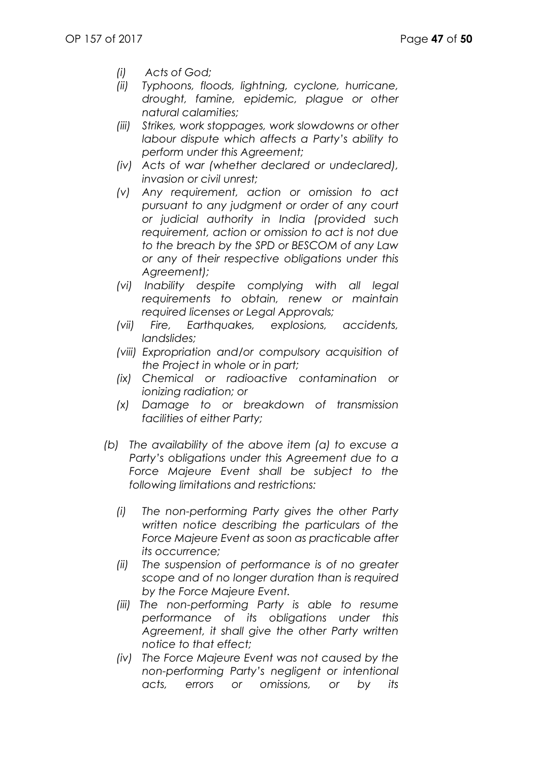- *(i) Acts of God;*
- *(ii) Typhoons, floods, lightning, cyclone, hurricane, drought, famine, epidemic, plague or other natural calamities;*
- *(iii) Strikes, work stoppages, work slowdowns or other labour dispute which affects a Party's ability to perform under this Agreement;*
- *(iv) Acts of war (whether declared or undeclared), invasion or civil unrest;*
- *(v) Any requirement, action or omission to act pursuant to any judgment or order of any court or judicial authority in India (provided such requirement, action or omission to act is not due to the breach by the SPD or BESCOM of any Law or any of their respective obligations under this Agreement);*
- *(vi) Inability despite complying with all legal requirements to obtain, renew or maintain required licenses or Legal Approvals;*
- *(vii) Fire, Earthquakes, explosions, accidents, landslides;*
- *(viii) Expropriation and/or compulsory acquisition of the Project in whole or in part;*
- *(ix) Chemical or radioactive contamination or ionizing radiation; or*
- *(x) Damage to or breakdown of transmission facilities of either Party;*
- *(b) The availability of the above item (a) to excuse a Party's obligations under this Agreement due to a Force Majeure Event shall be subject to the following limitations and restrictions:*
	- *(i) The non-performing Party gives the other Party written notice describing the particulars of the Force Majeure Event as soon as practicable after its occurrence;*
	- *(ii) The suspension of performance is of no greater scope and of no longer duration than is required by the Force Majeure Event.*
	- *(iii) The non-performing Party is able to resume performance of its obligations under this Agreement, it shall give the other Party written notice to that effect;*
	- *(iv) The Force Majeure Event was not caused by the non-performing Party's negligent or intentional acts, errors or omissions, or by its*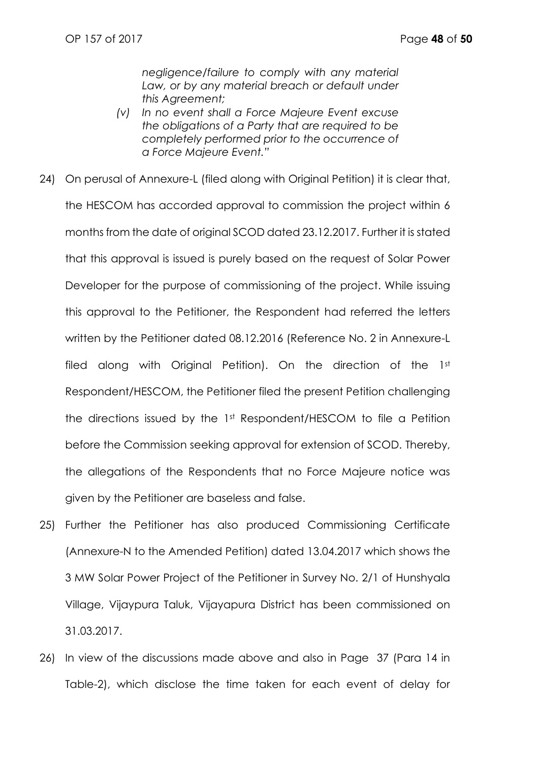*negligence/failure to comply with any material*  Law, or by any material breach or default under *this Agreement;*

- *(v) In no event shall a Force Majeure Event excuse the obligations of a Party that are required to be completely performed prior to the occurrence of a Force Majeure Event."*
- 24) On perusal of Annexure-L (filed along with Original Petition) it is clear that, the HESCOM has accorded approval to commission the project within 6 months from the date of original SCOD dated 23.12.2017. Further it is stated that this approval is issued is purely based on the request of Solar Power Developer for the purpose of commissioning of the project. While issuing this approval to the Petitioner, the Respondent had referred the letters written by the Petitioner dated 08.12.2016 (Reference No. 2 in Annexure-L filed along with Original Petition). On the direction of the 1st Respondent/HESCOM, the Petitioner filed the present Petition challenging the directions issued by the 1st Respondent/HESCOM to file a Petition before the Commission seeking approval for extension of SCOD. Thereby, the allegations of the Respondents that no Force Majeure notice was given by the Petitioner are baseless and false.
- 25) Further the Petitioner has also produced Commissioning Certificate (Annexure-N to the Amended Petition) dated 13.04.2017 which shows the 3 MW Solar Power Project of the Petitioner in Survey No. 2/1 of Hunshyala Village, Vijaypura Taluk, Vijayapura District has been commissioned on 31.03.2017.
- 26) In view of the discussions made above and also in Page 37 (Para 14 in Table-2), which disclose the time taken for each event of delay for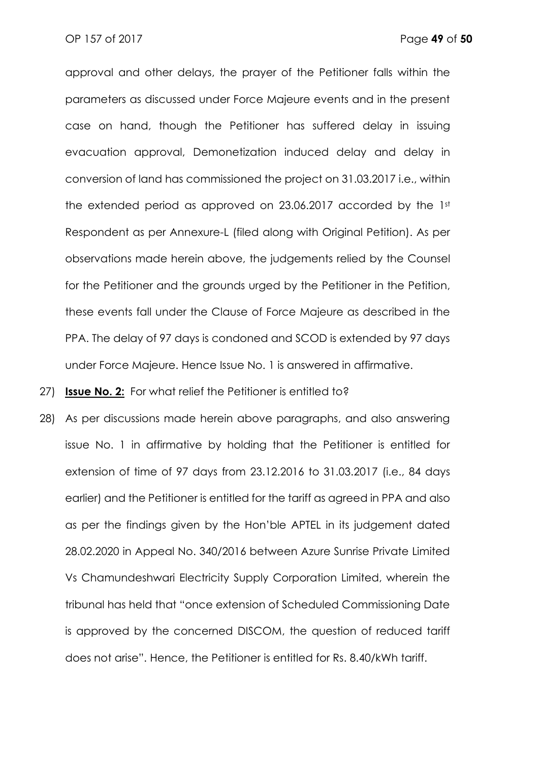approval and other delays, the prayer of the Petitioner falls within the parameters as discussed under Force Majeure events and in the present case on hand, though the Petitioner has suffered delay in issuing evacuation approval, Demonetization induced delay and delay in conversion of land has commissioned the project on 31.03.2017 i.e., within the extended period as approved on 23.06.2017 accorded by the 1st Respondent as per Annexure-L (filed along with Original Petition). As per observations made herein above, the judgements relied by the Counsel for the Petitioner and the grounds urged by the Petitioner in the Petition, these events fall under the Clause of Force Majeure as described in the PPA. The delay of 97 days is condoned and SCOD is extended by 97 days under Force Majeure. Hence Issue No. 1 is answered in affirmative.

27) **Issue No. 2:** For what relief the Petitioner is entitled to?

28) As per discussions made herein above paragraphs, and also answering issue No. 1 in affirmative by holding that the Petitioner is entitled for extension of time of 97 days from 23.12.2016 to 31.03.2017 (i.e., 84 days earlier) and the Petitioner is entitled for the tariff as agreed in PPA and also as per the findings given by the Hon'ble APTEL in its judgement dated 28.02.2020 in Appeal No. 340/2016 between Azure Sunrise Private Limited Vs Chamundeshwari Electricity Supply Corporation Limited, wherein the tribunal has held that "once extension of Scheduled Commissioning Date is approved by the concerned DISCOM, the question of reduced tariff does not arise". Hence, the Petitioner is entitled for Rs. 8.40/kWh tariff.